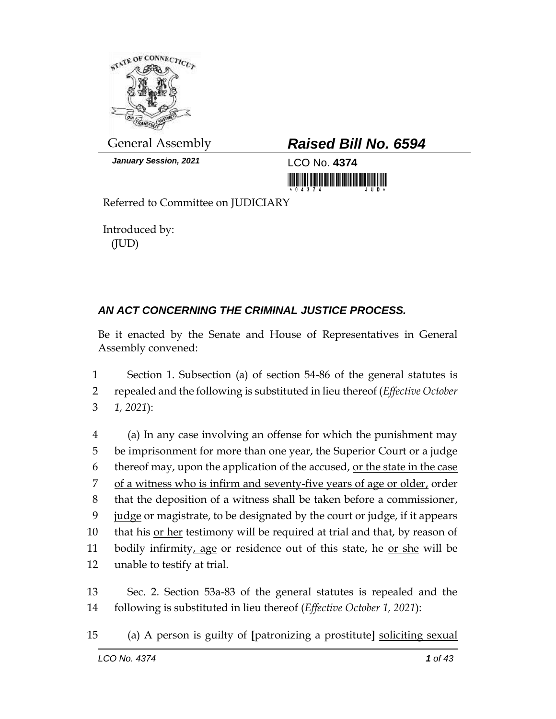

*January Session, 2021* LCO No. **4374**

## General Assembly *Raised Bill No. 6594*

<u> III yn yn yn yr Amerikaan i Brand III</u>

Referred to Committee on JUDICIARY

Introduced by: (JUD)

## *AN ACT CONCERNING THE CRIMINAL JUSTICE PROCESS.*

Be it enacted by the Senate and House of Representatives in General Assembly convened:

1 Section 1. Subsection (a) of section 54-86 of the general statutes is 2 repealed and the following is substituted in lieu thereof (*Effective October*  3 *1, 2021*):

 (a) In any case involving an offense for which the punishment may be imprisonment for more than one year, the Superior Court or a judge thereof may, upon the application of the accused, or the state in the case 7 of a witness who is infirm and seventy-five years of age or older, order that the deposition of a witness shall be taken before a commissioner, judge or magistrate, to be designated by the court or judge, if it appears 10 that his <u>or her</u> testimony will be required at trial and that, by reason of 11 bodily infirmity, age or residence out of this state, he or she will be unable to testify at trial.

13 Sec. 2. Section 53a-83 of the general statutes is repealed and the 14 following is substituted in lieu thereof (*Effective October 1, 2021*):

15 (a) A person is guilty of **[**patronizing a prostitute**]** soliciting sexual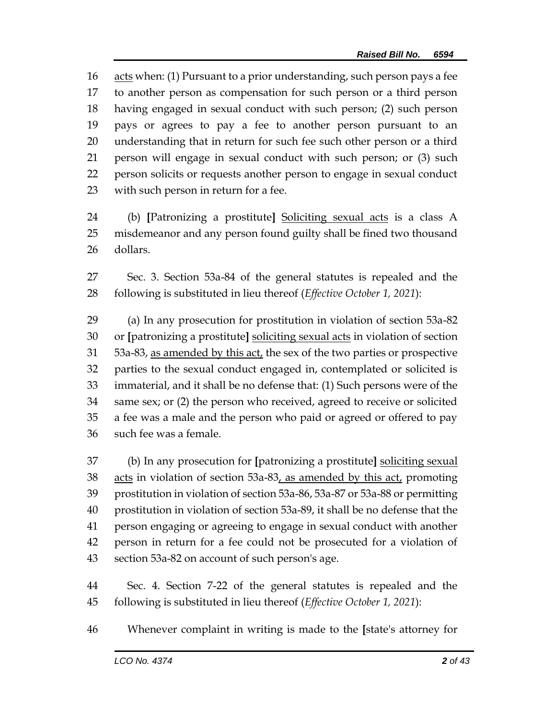acts when: (1) Pursuant to a prior understanding, such person pays a fee to another person as compensation for such person or a third person having engaged in sexual conduct with such person; (2) such person pays or agrees to pay a fee to another person pursuant to an understanding that in return for such fee such other person or a third person will engage in sexual conduct with such person; or (3) such person solicits or requests another person to engage in sexual conduct with such person in return for a fee.

 (b) **[**Patronizing a prostitute**]** Soliciting sexual acts is a class A misdemeanor and any person found guilty shall be fined two thousand dollars.

 Sec. 3. Section 53a-84 of the general statutes is repealed and the following is substituted in lieu thereof (*Effective October 1, 2021*):

 (a) In any prosecution for prostitution in violation of section 53a-82 or **[**patronizing a prostitute**]** soliciting sexual acts in violation of section 53a-83, as amended by this act, the sex of the two parties or prospective parties to the sexual conduct engaged in, contemplated or solicited is immaterial, and it shall be no defense that: (1) Such persons were of the same sex; or (2) the person who received, agreed to receive or solicited a fee was a male and the person who paid or agreed or offered to pay such fee was a female.

 (b) In any prosecution for **[**patronizing a prostitute**]** soliciting sexual 38 acts in violation of section 53a-83, as amended by this act, promoting prostitution in violation of section 53a-86, 53a-87 or 53a-88 or permitting prostitution in violation of section 53a-89, it shall be no defense that the person engaging or agreeing to engage in sexual conduct with another person in return for a fee could not be prosecuted for a violation of section 53a-82 on account of such person's age.

 Sec. 4. Section 7-22 of the general statutes is repealed and the following is substituted in lieu thereof (*Effective October 1, 2021*):

Whenever complaint in writing is made to the **[**state's attorney for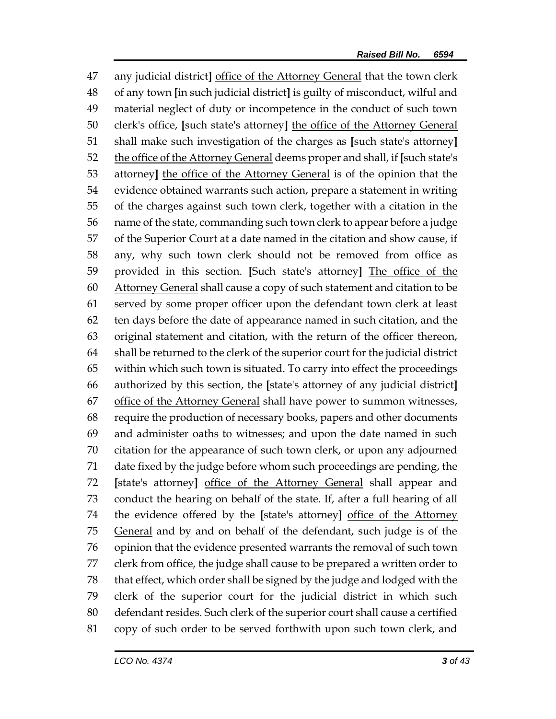any judicial district**]** office of the Attorney General that the town clerk of any town **[**in such judicial district**]** is guilty of misconduct, wilful and material neglect of duty or incompetence in the conduct of such town clerk's office, **[**such state's attorney**]** the office of the Attorney General shall make such investigation of the charges as **[**such state's attorney**]** the office of the Attorney General deems proper and shall, if **[**such state's attorney**]** the office of the Attorney General is of the opinion that the evidence obtained warrants such action, prepare a statement in writing of the charges against such town clerk, together with a citation in the name of the state, commanding such town clerk to appear before a judge of the Superior Court at a date named in the citation and show cause, if any, why such town clerk should not be removed from office as provided in this section. **[**Such state's attorney**]** The office of the Attorney General shall cause a copy of such statement and citation to be served by some proper officer upon the defendant town clerk at least ten days before the date of appearance named in such citation, and the original statement and citation, with the return of the officer thereon, shall be returned to the clerk of the superior court for the judicial district within which such town is situated. To carry into effect the proceedings authorized by this section, the **[**state's attorney of any judicial district**]** 67 office of the Attorney General shall have power to summon witnesses, require the production of necessary books, papers and other documents and administer oaths to witnesses; and upon the date named in such citation for the appearance of such town clerk, or upon any adjourned date fixed by the judge before whom such proceedings are pending, the **[**state's attorney**]** office of the Attorney General shall appear and conduct the hearing on behalf of the state. If, after a full hearing of all the evidence offered by the **[**state's attorney**]** office of the Attorney 75 General and by and on behalf of the defendant, such judge is of the opinion that the evidence presented warrants the removal of such town clerk from office, the judge shall cause to be prepared a written order to that effect, which order shall be signed by the judge and lodged with the clerk of the superior court for the judicial district in which such defendant resides. Such clerk of the superior court shall cause a certified copy of such order to be served forthwith upon such town clerk, and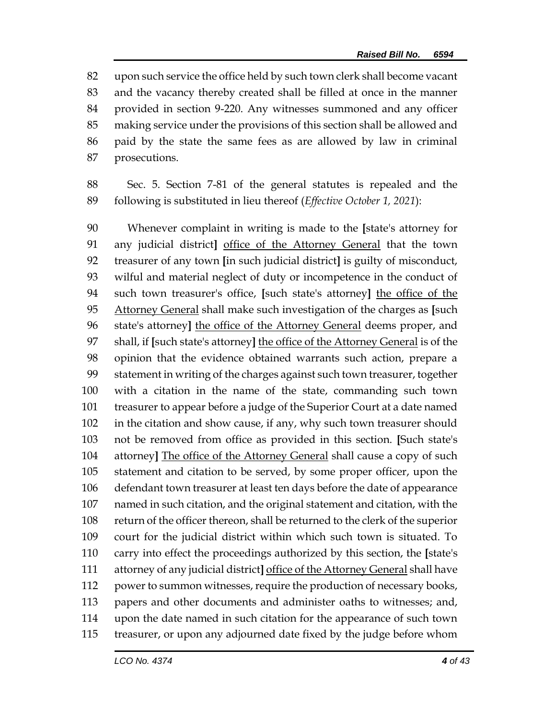upon such service the office held by such town clerk shall become vacant and the vacancy thereby created shall be filled at once in the manner provided in section 9-220. Any witnesses summoned and any officer making service under the provisions of this section shall be allowed and paid by the state the same fees as are allowed by law in criminal prosecutions.

 Sec. 5. Section 7-81 of the general statutes is repealed and the following is substituted in lieu thereof (*Effective October 1, 2021*):

 Whenever complaint in writing is made to the **[**state's attorney for any judicial district**]** office of the Attorney General that the town treasurer of any town **[**in such judicial district**]** is guilty of misconduct, wilful and material neglect of duty or incompetence in the conduct of such town treasurer's office, **[**such state's attorney**]** the office of the Attorney General shall make such investigation of the charges as **[**such state's attorney**]** the office of the Attorney General deems proper, and shall, if **[**such state's attorney**]** the office of the Attorney General is of the opinion that the evidence obtained warrants such action, prepare a statement in writing of the charges against such town treasurer, together with a citation in the name of the state, commanding such town treasurer to appear before a judge of the Superior Court at a date named in the citation and show cause, if any, why such town treasurer should not be removed from office as provided in this section. **[**Such state's attorney**]** The office of the Attorney General shall cause a copy of such statement and citation to be served, by some proper officer, upon the defendant town treasurer at least ten days before the date of appearance named in such citation, and the original statement and citation, with the return of the officer thereon, shall be returned to the clerk of the superior court for the judicial district within which such town is situated. To carry into effect the proceedings authorized by this section, the **[**state's attorney of any judicial district**]** office of the Attorney General shall have power to summon witnesses, require the production of necessary books, papers and other documents and administer oaths to witnesses; and, upon the date named in such citation for the appearance of such town treasurer, or upon any adjourned date fixed by the judge before whom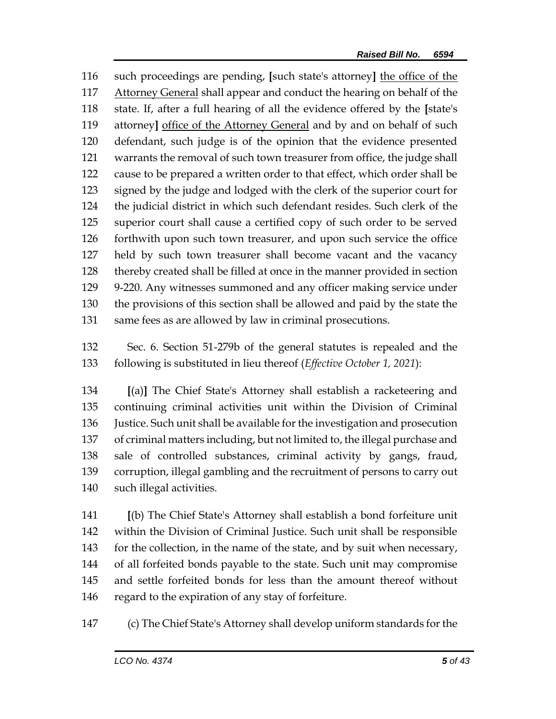such proceedings are pending, **[**such state's attorney**]** the office of the Attorney General shall appear and conduct the hearing on behalf of the state. If, after a full hearing of all the evidence offered by the **[**state's attorney**]** office of the Attorney General and by and on behalf of such defendant, such judge is of the opinion that the evidence presented warrants the removal of such town treasurer from office, the judge shall cause to be prepared a written order to that effect, which order shall be signed by the judge and lodged with the clerk of the superior court for the judicial district in which such defendant resides. Such clerk of the superior court shall cause a certified copy of such order to be served forthwith upon such town treasurer, and upon such service the office held by such town treasurer shall become vacant and the vacancy thereby created shall be filled at once in the manner provided in section 9-220. Any witnesses summoned and any officer making service under the provisions of this section shall be allowed and paid by the state the same fees as are allowed by law in criminal prosecutions.

 Sec. 6. Section 51-279b of the general statutes is repealed and the following is substituted in lieu thereof (*Effective October 1, 2021*):

 **[**(a)**]** The Chief State's Attorney shall establish a racketeering and continuing criminal activities unit within the Division of Criminal Justice. Such unit shall be available for the investigation and prosecution of criminal matters including, but not limited to, the illegal purchase and sale of controlled substances, criminal activity by gangs, fraud, corruption, illegal gambling and the recruitment of persons to carry out such illegal activities.

 **[**(b) The Chief State's Attorney shall establish a bond forfeiture unit within the Division of Criminal Justice. Such unit shall be responsible 143 for the collection, in the name of the state, and by suit when necessary, of all forfeited bonds payable to the state. Such unit may compromise and settle forfeited bonds for less than the amount thereof without regard to the expiration of any stay of forfeiture.

(c) The Chief State's Attorney shall develop uniform standards for the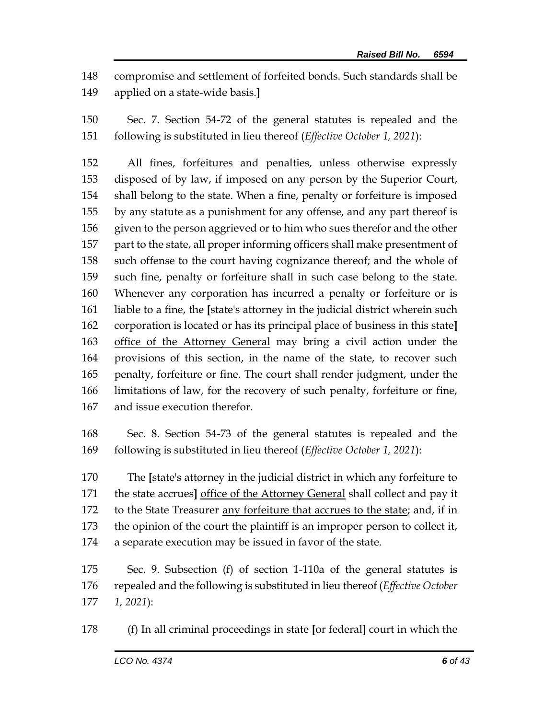compromise and settlement of forfeited bonds. Such standards shall be applied on a state-wide basis.**]**

 Sec. 7. Section 54-72 of the general statutes is repealed and the following is substituted in lieu thereof (*Effective October 1, 2021*):

 All fines, forfeitures and penalties, unless otherwise expressly disposed of by law, if imposed on any person by the Superior Court, shall belong to the state. When a fine, penalty or forfeiture is imposed by any statute as a punishment for any offense, and any part thereof is 156 given to the person aggrieved or to him who sues therefor and the other part to the state, all proper informing officers shall make presentment of such offense to the court having cognizance thereof; and the whole of such fine, penalty or forfeiture shall in such case belong to the state. Whenever any corporation has incurred a penalty or forfeiture or is liable to a fine, the **[**state's attorney in the judicial district wherein such corporation is located or has its principal place of business in this state**]** office of the Attorney General may bring a civil action under the provisions of this section, in the name of the state, to recover such penalty, forfeiture or fine. The court shall render judgment, under the limitations of law, for the recovery of such penalty, forfeiture or fine, and issue execution therefor.

 Sec. 8. Section 54-73 of the general statutes is repealed and the following is substituted in lieu thereof (*Effective October 1, 2021*):

 The **[**state's attorney in the judicial district in which any forfeiture to the state accrues**]** office of the Attorney General shall collect and pay it to the State Treasurer any forfeiture that accrues to the state; and, if in the opinion of the court the plaintiff is an improper person to collect it, a separate execution may be issued in favor of the state.

 Sec. 9. Subsection (f) of section 1-110a of the general statutes is repealed and the following is substituted in lieu thereof (*Effective October 1, 2021*):

(f) In all criminal proceedings in state **[**or federal**]** court in which the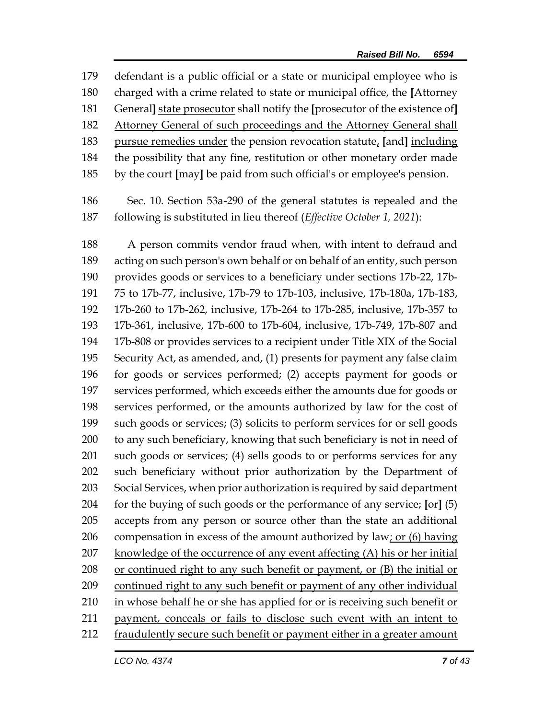defendant is a public official or a state or municipal employee who is charged with a crime related to state or municipal office, the **[**Attorney General**]** state prosecutor shall notify the **[**prosecutor of the existence of**]** Attorney General of such proceedings and the Attorney General shall pursue remedies under the pension revocation statute, **[**and**]** including the possibility that any fine, restitution or other monetary order made by the court **[**may**]** be paid from such official's or employee's pension.

 Sec. 10. Section 53a-290 of the general statutes is repealed and the following is substituted in lieu thereof (*Effective October 1, 2021*):

 A person commits vendor fraud when, with intent to defraud and acting on such person's own behalf or on behalf of an entity, such person provides goods or services to a beneficiary under sections 17b-22, 17b- 75 to 17b-77, inclusive, 17b-79 to 17b-103, inclusive, 17b-180a, 17b-183, 17b-260 to 17b-262, inclusive, 17b-264 to 17b-285, inclusive, 17b-357 to 17b-361, inclusive, 17b-600 to 17b-604, inclusive, 17b-749, 17b-807 and 17b-808 or provides services to a recipient under Title XIX of the Social Security Act, as amended, and, (1) presents for payment any false claim for goods or services performed; (2) accepts payment for goods or services performed, which exceeds either the amounts due for goods or services performed, or the amounts authorized by law for the cost of such goods or services; (3) solicits to perform services for or sell goods to any such beneficiary, knowing that such beneficiary is not in need of such goods or services; (4) sells goods to or performs services for any such beneficiary without prior authorization by the Department of Social Services, when prior authorization is required by said department for the buying of such goods or the performance of any service; **[**or**]** (5) accepts from any person or source other than the state an additional 206 compensation in excess of the amount authorized by law; or  $(6)$  having 207 knowledge of the occurrence of any event affecting  $(A)$  his or her initial or continued right to any such benefit or payment, or (B) the initial or continued right to any such benefit or payment of any other individual 210 in whose behalf he or she has applied for or is receiving such benefit or payment, conceals or fails to disclose such event with an intent to fraudulently secure such benefit or payment either in a greater amount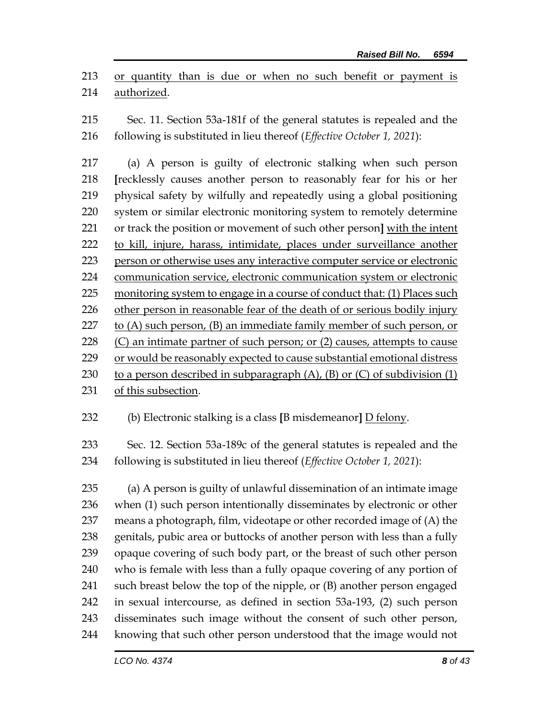or quantity than is due or when no such benefit or payment is authorized.

 Sec. 11. Section 53a-181f of the general statutes is repealed and the following is substituted in lieu thereof (*Effective October 1, 2021*):

 (a) A person is guilty of electronic stalking when such person **[**recklessly causes another person to reasonably fear for his or her physical safety by wilfully and repeatedly using a global positioning system or similar electronic monitoring system to remotely determine or track the position or movement of such other person**]** with the intent to kill, injure, harass, intimidate, places under surveillance another person or otherwise uses any interactive computer service or electronic communication service, electronic communication system or electronic monitoring system to engage in a course of conduct that: (1) Places such other person in reasonable fear of the death of or [serious bodily injury](https://www.law.cornell.edu/definitions/uscode.php?width=840&height=800&iframe=true&def_id=18-USC-402227300-1416750995&term_occur=999&term_src=title:18:part:I:chapter:110A:section:2261A) 227 to  $(A)$  such person,  $(B)$  an immediate family member of such person, or  $(C)$  an intimate partner of such person; or  $(2)$  causes, attempts to cause or would be reasonably expected to cause substantial emotional distress 230 to a person described in subparagraph  $(A)$ ,  $(B)$  or  $(C)$  of subdivision  $(1)$ 

of this subsection.

(b) Electronic stalking is a class **[**B misdemeanor**]** D felony.

 Sec. 12. Section 53a-189c of the general statutes is repealed and the following is substituted in lieu thereof (*Effective October 1, 2021*):

 (a) A person is guilty of unlawful dissemination of an intimate image when (1) such person intentionally disseminates by electronic or other means a photograph, film, videotape or other recorded image of (A) the genitals, pubic area or buttocks of another person with less than a fully opaque covering of such body part, or the breast of such other person who is female with less than a fully opaque covering of any portion of such breast below the top of the nipple, or (B) another person engaged in sexual intercourse, as defined in section 53a-193, (2) such person disseminates such image without the consent of such other person, knowing that such other person understood that the image would not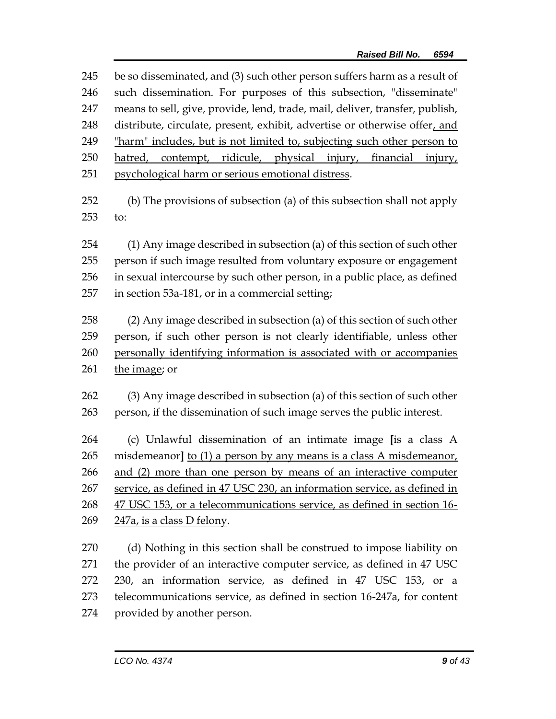be so disseminated, and (3) such other person suffers harm as a result of such dissemination. For purposes of this subsection, "disseminate" means to sell, give, provide, lend, trade, mail, deliver, transfer, publish, distribute, circulate, present, exhibit, advertise or otherwise offer, and "harm" includes, but is not limited to, subjecting such other person to hatred, contempt, ridicule, physical injury, financial injury, psychological harm or serious emotional distress.

 (b) The provisions of subsection (a) of this subsection shall not apply to:

 (1) Any image described in subsection (a) of this section of such other person if such image resulted from voluntary exposure or engagement in sexual intercourse by such other person, in a public place, as defined in section 53a-181, or in a commercial setting;

 (2) Any image described in subsection (a) of this section of such other 259 person, if such other person is not clearly identifiable, unless other personally identifying information is associated with or accompanies 261 the image; or

 (3) Any image described in subsection (a) of this section of such other person, if the dissemination of such image serves the public interest.

 (c) Unlawful dissemination of an intimate image **[**is a class A misdemeanor**]** to (1) a person by any means is a class A misdemeanor, and (2) more than one person by means of an interactive computer service, as defined in 47 USC 230, an information service, as defined in 47 USC 153, or a telecommunications service, as defined in section 16- 247a, is a class D felony.

 (d) Nothing in this section shall be construed to impose liability on the provider of an interactive computer service, as defined in 47 USC 230, an information service, as defined in 47 USC 153, or a telecommunications service, as defined in section 16-247a, for content provided by another person.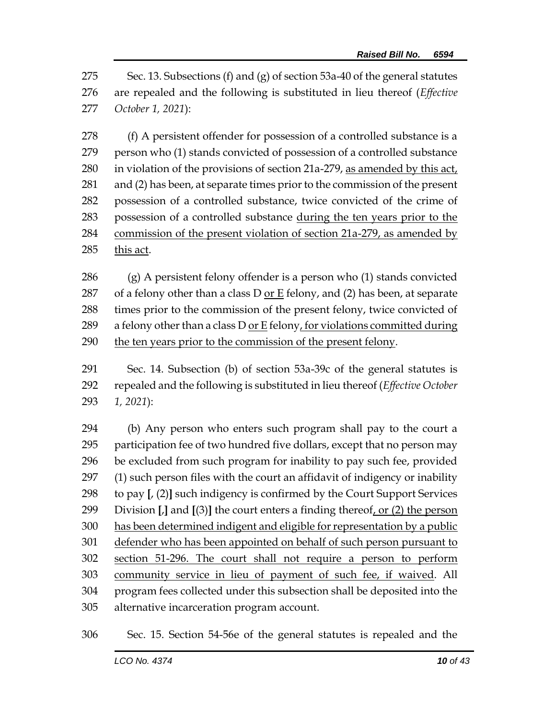Sec. 13. Subsections (f) and (g) of section 53a-40 of the general statutes are repealed and the following is substituted in lieu thereof (*Effective October 1, 2021*):

278 (f) A persistent offender for possession of a controlled substance is a person who (1) stands convicted of possession of a controlled substance in violation of the provisions of section 21a-279, as amended by this act, and (2) has been, at separate times prior to the commission of the present possession of a controlled substance, twice convicted of the crime of possession of a controlled substance during the ten years prior to the commission of the present violation of section 21a-279, as amended by this act.

 (g) A persistent felony offender is a person who (1) stands convicted 287 of a felony other than a class D <u>or E</u> felony, and (2) has been, at separate times prior to the commission of the present felony, twice convicted of 289 a felony other than a class D or E felony, for violations committed during the ten years prior to the commission of the present felony.

 Sec. 14. Subsection (b) of section 53a-39c of the general statutes is repealed and the following is substituted in lieu thereof (*Effective October 1, 2021*):

 (b) Any person who enters such program shall pay to the court a participation fee of two hundred five dollars, except that no person may be excluded from such program for inability to pay such fee, provided (1) such person files with the court an affidavit of indigency or inability to pay **[**, (2)**]** such indigency is confirmed by the Court Support Services Division **[**,**]** and **[**(3)**]** the court enters a finding thereof, or (2) the person has been determined indigent and eligible for representation by a public defender who has been appointed on behalf of such person pursuant to section 51-296. The court shall not require a person to perform community service in lieu of payment of such fee, if waived. All program fees collected under this subsection shall be deposited into the alternative incarceration program account.

Sec. 15. Section 54-56e of the general statutes is repealed and the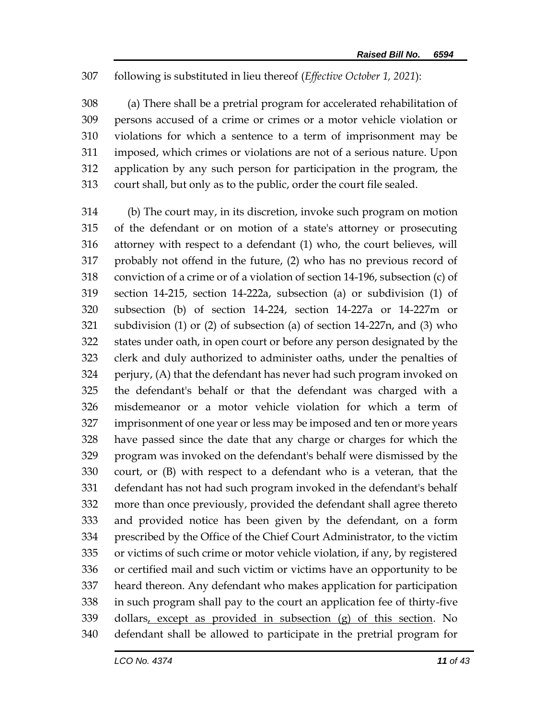## following is substituted in lieu thereof (*Effective October 1, 2021*):

 (a) There shall be a pretrial program for accelerated rehabilitation of persons accused of a crime or crimes or a motor vehicle violation or violations for which a sentence to a term of imprisonment may be imposed, which crimes or violations are not of a serious nature. Upon application by any such person for participation in the program, the court shall, but only as to the public, order the court file sealed.

 (b) The court may, in its discretion, invoke such program on motion of the defendant or on motion of a state's attorney or prosecuting attorney with respect to a defendant (1) who, the court believes, will probably not offend in the future, (2) who has no previous record of conviction of a crime or of a violation of section 14-196, subsection (c) of section 14-215, section 14-222a, subsection (a) or subdivision (1) of subsection (b) of section 14-224, section 14-227a or 14-227m or subdivision (1) or (2) of subsection (a) of section 14-227n, and (3) who states under oath, in open court or before any person designated by the clerk and duly authorized to administer oaths, under the penalties of perjury, (A) that the defendant has never had such program invoked on the defendant's behalf or that the defendant was charged with a misdemeanor or a motor vehicle violation for which a term of imprisonment of one year or less may be imposed and ten or more years have passed since the date that any charge or charges for which the program was invoked on the defendant's behalf were dismissed by the court, or (B) with respect to a defendant who is a veteran, that the defendant has not had such program invoked in the defendant's behalf more than once previously, provided the defendant shall agree thereto and provided notice has been given by the defendant, on a form prescribed by the Office of the Chief Court Administrator, to the victim or victims of such crime or motor vehicle violation, if any, by registered or certified mail and such victim or victims have an opportunity to be heard thereon. Any defendant who makes application for participation in such program shall pay to the court an application fee of thirty-five dollars, except as provided in subsection (g) of this section. No defendant shall be allowed to participate in the pretrial program for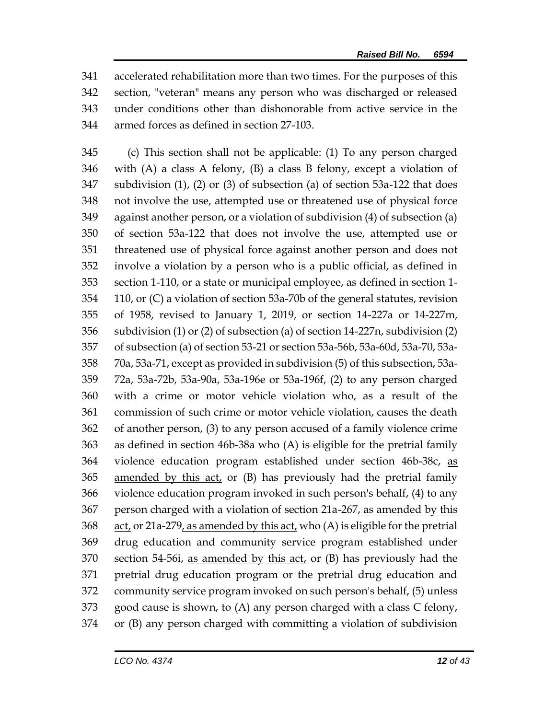accelerated rehabilitation more than two times. For the purposes of this section, "veteran" means any person who was discharged or released under conditions other than dishonorable from active service in the armed forces as defined in section 27-103.

 (c) This section shall not be applicable: (1) To any person charged with (A) a class A felony, (B) a class B felony, except a violation of subdivision (1), (2) or (3) of subsection (a) of section 53a-122 that does not involve the use, attempted use or threatened use of physical force against another person, or a violation of subdivision (4) of subsection (a) of section 53a-122 that does not involve the use, attempted use or threatened use of physical force against another person and does not involve a violation by a person who is a public official, as defined in section 1-110, or a state or municipal employee, as defined in section 1- 110, or (C) a violation of section 53a-70b of the general statutes, revision of 1958, revised to January 1, 2019, or section 14-227a or 14-227m, subdivision (1) or (2) of subsection (a) of section 14-227n, subdivision (2) of subsection (a) of section 53-21 or section 53a-56b, 53a-60d, 53a-70, 53a- 70a, 53a-71, except as provided in subdivision (5) of this subsection, 53a- 72a, 53a-72b, 53a-90a, 53a-196e or 53a-196f, (2) to any person charged with a crime or motor vehicle violation who, as a result of the commission of such crime or motor vehicle violation, causes the death of another person, (3) to any person accused of a family violence crime as defined in section 46b-38a who (A) is eligible for the pretrial family violence education program established under section 46b-38c, as 365 amended by this act, or (B) has previously had the pretrial family violence education program invoked in such person's behalf, (4) to any person charged with a violation of section 21a-267, as amended by this act, or 21a-279, as amended by this act, who (A) is eligible for the pretrial drug education and community service program established under 370 section 54-56i, as amended by this  $act<sub>t</sub>$  or (B) has previously had the pretrial drug education program or the pretrial drug education and community service program invoked on such person's behalf, (5) unless good cause is shown, to (A) any person charged with a class C felony, or (B) any person charged with committing a violation of subdivision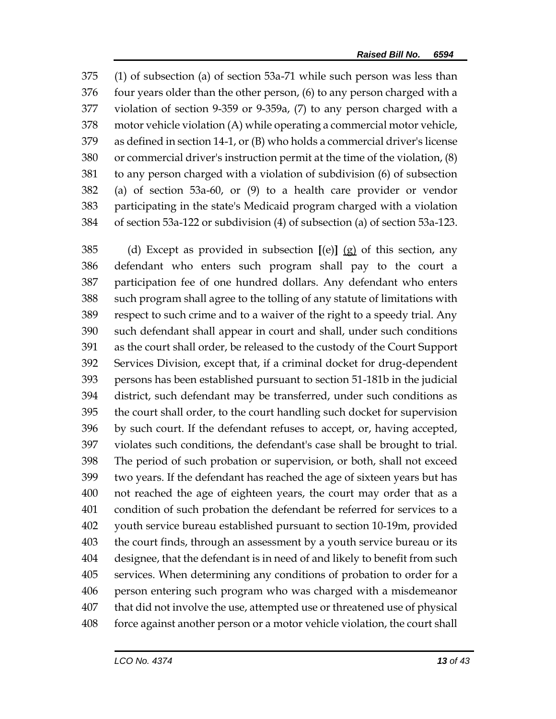(1) of subsection (a) of section 53a-71 while such person was less than four years older than the other person, (6) to any person charged with a violation of section 9-359 or 9-359a, (7) to any person charged with a motor vehicle violation (A) while operating a commercial motor vehicle, as defined in section 14-1, or (B) who holds a commercial driver's license or commercial driver's instruction permit at the time of the violation, (8) to any person charged with a violation of subdivision (6) of subsection (a) of section 53a-60, or (9) to a health care provider or vendor participating in the state's Medicaid program charged with a violation of section 53a-122 or subdivision (4) of subsection (a) of section 53a-123.

 (d) Except as provided in subsection **[**(e)**]** (g) of this section, any defendant who enters such program shall pay to the court a participation fee of one hundred dollars. Any defendant who enters such program shall agree to the tolling of any statute of limitations with respect to such crime and to a waiver of the right to a speedy trial. Any such defendant shall appear in court and shall, under such conditions as the court shall order, be released to the custody of the Court Support Services Division, except that, if a criminal docket for drug-dependent persons has been established pursuant to section 51-181b in the judicial district, such defendant may be transferred, under such conditions as the court shall order, to the court handling such docket for supervision by such court. If the defendant refuses to accept, or, having accepted, violates such conditions, the defendant's case shall be brought to trial. The period of such probation or supervision, or both, shall not exceed two years. If the defendant has reached the age of sixteen years but has not reached the age of eighteen years, the court may order that as a condition of such probation the defendant be referred for services to a youth service bureau established pursuant to section 10-19m, provided the court finds, through an assessment by a youth service bureau or its designee, that the defendant is in need of and likely to benefit from such services. When determining any conditions of probation to order for a person entering such program who was charged with a misdemeanor that did not involve the use, attempted use or threatened use of physical force against another person or a motor vehicle violation, the court shall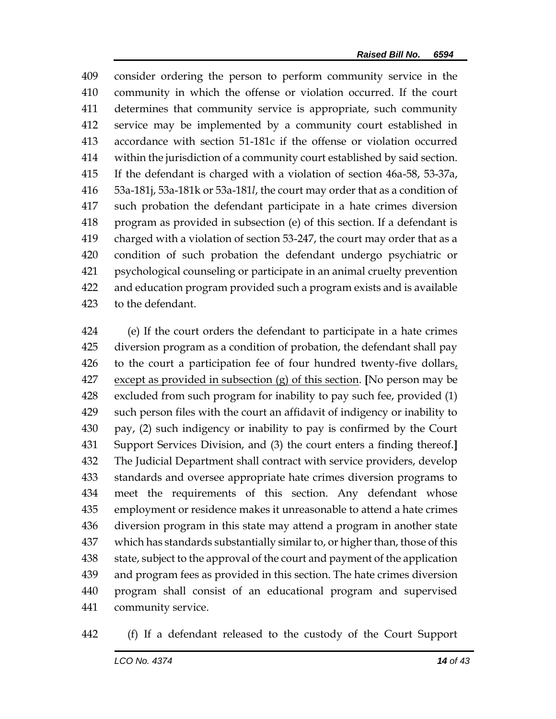consider ordering the person to perform community service in the community in which the offense or violation occurred. If the court determines that community service is appropriate, such community service may be implemented by a community court established in accordance with section 51-181c if the offense or violation occurred within the jurisdiction of a community court established by said section. If the defendant is charged with a violation of section 46a-58, 53-37a, 53a-181j, 53a-181k or 53a-181*l*, the court may order that as a condition of such probation the defendant participate in a hate crimes diversion program as provided in subsection (e) of this section. If a defendant is charged with a violation of section 53-247, the court may order that as a condition of such probation the defendant undergo psychiatric or psychological counseling or participate in an animal cruelty prevention and education program provided such a program exists and is available to the defendant.

 (e) If the court orders the defendant to participate in a hate crimes diversion program as a condition of probation, the defendant shall pay 426 to the court a participation fee of four hundred twenty-five dollars, except as provided in subsection (g) of this section. **[**No person may be excluded from such program for inability to pay such fee, provided (1) such person files with the court an affidavit of indigency or inability to pay, (2) such indigency or inability to pay is confirmed by the Court Support Services Division, and (3) the court enters a finding thereof.**]** The Judicial Department shall contract with service providers, develop standards and oversee appropriate hate crimes diversion programs to meet the requirements of this section. Any defendant whose employment or residence makes it unreasonable to attend a hate crimes diversion program in this state may attend a program in another state which has standards substantially similar to, or higher than, those of this state, subject to the approval of the court and payment of the application and program fees as provided in this section. The hate crimes diversion program shall consist of an educational program and supervised community service.

(f) If a defendant released to the custody of the Court Support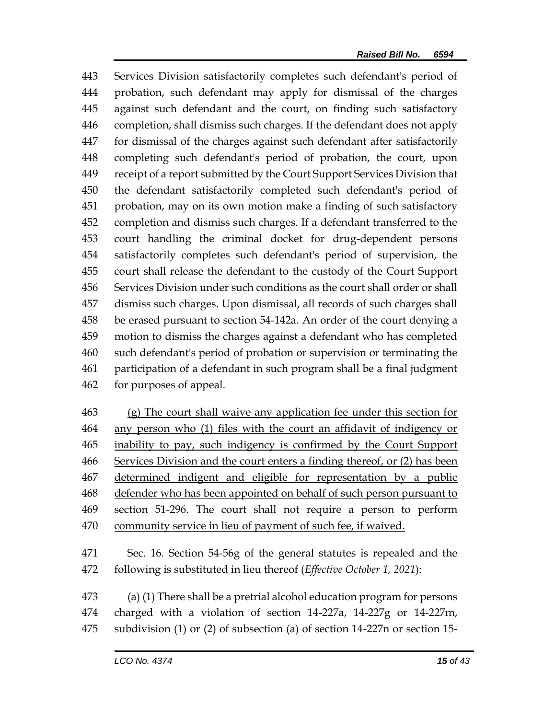Services Division satisfactorily completes such defendant's period of probation, such defendant may apply for dismissal of the charges against such defendant and the court, on finding such satisfactory completion, shall dismiss such charges. If the defendant does not apply for dismissal of the charges against such defendant after satisfactorily completing such defendant's period of probation, the court, upon receipt of a report submitted by the Court Support Services Division that the defendant satisfactorily completed such defendant's period of probation, may on its own motion make a finding of such satisfactory completion and dismiss such charges. If a defendant transferred to the court handling the criminal docket for drug-dependent persons satisfactorily completes such defendant's period of supervision, the court shall release the defendant to the custody of the Court Support Services Division under such conditions as the court shall order or shall dismiss such charges. Upon dismissal, all records of such charges shall be erased pursuant to section 54-142a. An order of the court denying a motion to dismiss the charges against a defendant who has completed such defendant's period of probation or supervision or terminating the participation of a defendant in such program shall be a final judgment for purposes of appeal.

463 (g) The court shall waive any application fee under this section for any person who (1) files with the court an affidavit of indigency or inability to pay, such indigency is confirmed by the Court Support Services Division and the court enters a finding thereof, or (2) has been determined indigent and eligible for representation by a public 468 defender who has been appointed on behalf of such person pursuant to section 51-296. The court shall not require a person to perform community service in lieu of payment of such fee, if waived.

 Sec. 16. Section 54-56g of the general statutes is repealed and the following is substituted in lieu thereof (*Effective October 1, 2021*):

 (a) (1) There shall be a pretrial alcohol education program for persons charged with a violation of section 14-227a, 14-227g or 14-227m, subdivision (1) or (2) of subsection (a) of section 14-227n or section 15-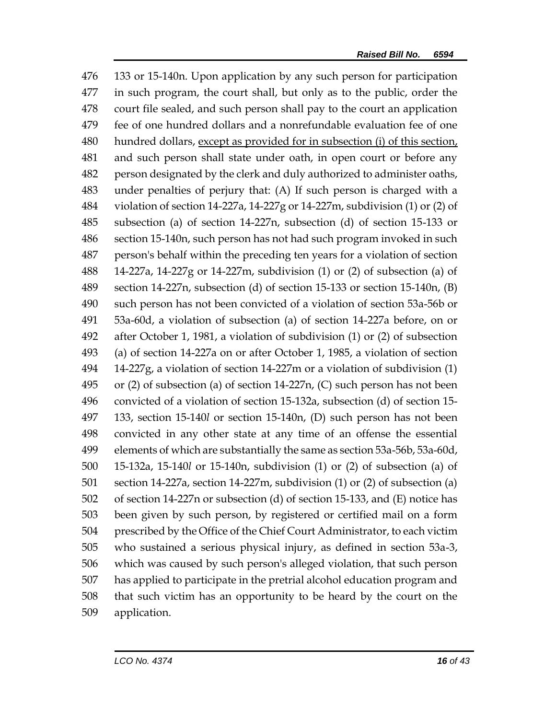133 or 15-140n. Upon application by any such person for participation in such program, the court shall, but only as to the public, order the court file sealed, and such person shall pay to the court an application fee of one hundred dollars and a nonrefundable evaluation fee of one hundred dollars, except as provided for in subsection (i) of this section, and such person shall state under oath, in open court or before any person designated by the clerk and duly authorized to administer oaths, under penalties of perjury that: (A) If such person is charged with a violation of section 14-227a, 14-227g or 14-227m, subdivision (1) or (2) of subsection (a) of section 14-227n, subsection (d) of section 15-133 or section 15-140n, such person has not had such program invoked in such person's behalf within the preceding ten years for a violation of section 14-227a, 14-227g or 14-227m, subdivision (1) or (2) of subsection (a) of section 14-227n, subsection (d) of section 15-133 or section 15-140n, (B) such person has not been convicted of a violation of section 53a-56b or 53a-60d, a violation of subsection (a) of section 14-227a before, on or after October 1, 1981, a violation of subdivision (1) or (2) of subsection (a) of section 14-227a on or after October 1, 1985, a violation of section 14-227g, a violation of section 14-227m or a violation of subdivision (1) or (2) of subsection (a) of section 14-227n, (C) such person has not been convicted of a violation of section 15-132a, subsection (d) of section 15- 133, section 15-140*l* or section 15-140n, (D) such person has not been convicted in any other state at any time of an offense the essential elements of which are substantially the same as section 53a-56b, 53a-60d, 15-132a, 15-140*l* or 15-140n, subdivision (1) or (2) of subsection (a) of section 14-227a, section 14-227m, subdivision (1) or (2) of subsection (a) of section 14-227n or subsection (d) of section 15-133, and (E) notice has been given by such person, by registered or certified mail on a form prescribed by the Office of the Chief Court Administrator, to each victim who sustained a serious physical injury, as defined in section 53a-3, which was caused by such person's alleged violation, that such person has applied to participate in the pretrial alcohol education program and that such victim has an opportunity to be heard by the court on the application.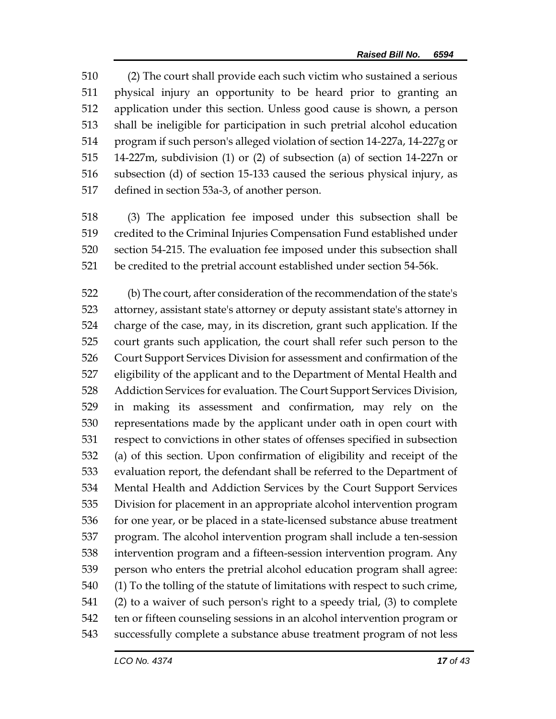(2) The court shall provide each such victim who sustained a serious physical injury an opportunity to be heard prior to granting an application under this section. Unless good cause is shown, a person shall be ineligible for participation in such pretrial alcohol education program if such person's alleged violation of section 14-227a, 14-227g or 14-227m, subdivision (1) or (2) of subsection (a) of section 14-227n or subsection (d) of section 15-133 caused the serious physical injury, as defined in section 53a-3, of another person.

 (3) The application fee imposed under this subsection shall be credited to the Criminal Injuries Compensation Fund established under section 54-215. The evaluation fee imposed under this subsection shall be credited to the pretrial account established under section 54-56k.

 (b) The court, after consideration of the recommendation of the state's attorney, assistant state's attorney or deputy assistant state's attorney in charge of the case, may, in its discretion, grant such application. If the court grants such application, the court shall refer such person to the Court Support Services Division for assessment and confirmation of the eligibility of the applicant and to the Department of Mental Health and Addiction Services for evaluation. The Court Support Services Division, in making its assessment and confirmation, may rely on the representations made by the applicant under oath in open court with respect to convictions in other states of offenses specified in subsection (a) of this section. Upon confirmation of eligibility and receipt of the evaluation report, the defendant shall be referred to the Department of Mental Health and Addiction Services by the Court Support Services Division for placement in an appropriate alcohol intervention program for one year, or be placed in a state-licensed substance abuse treatment program. The alcohol intervention program shall include a ten-session intervention program and a fifteen-session intervention program. Any person who enters the pretrial alcohol education program shall agree: (1) To the tolling of the statute of limitations with respect to such crime, (2) to a waiver of such person's right to a speedy trial, (3) to complete ten or fifteen counseling sessions in an alcohol intervention program or successfully complete a substance abuse treatment program of not less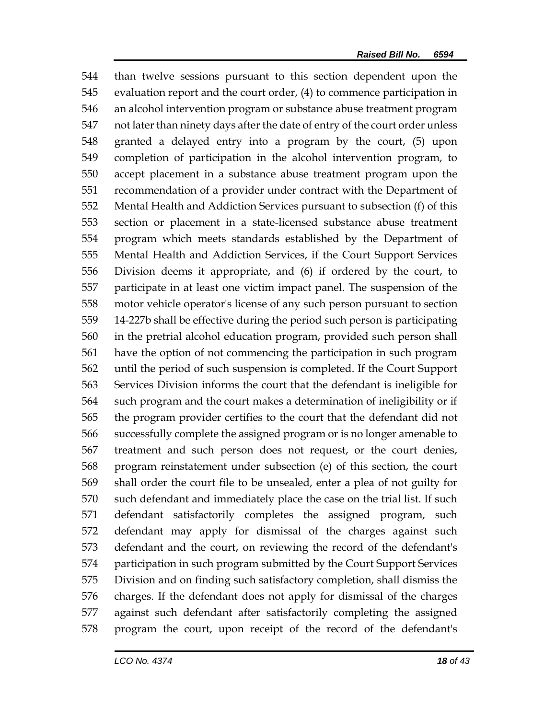than twelve sessions pursuant to this section dependent upon the evaluation report and the court order, (4) to commence participation in an alcohol intervention program or substance abuse treatment program not later than ninety days after the date of entry of the court order unless granted a delayed entry into a program by the court, (5) upon completion of participation in the alcohol intervention program, to accept placement in a substance abuse treatment program upon the recommendation of a provider under contract with the Department of Mental Health and Addiction Services pursuant to subsection (f) of this section or placement in a state-licensed substance abuse treatment program which meets standards established by the Department of Mental Health and Addiction Services, if the Court Support Services Division deems it appropriate, and (6) if ordered by the court, to participate in at least one victim impact panel. The suspension of the motor vehicle operator's license of any such person pursuant to section 14-227b shall be effective during the period such person is participating in the pretrial alcohol education program, provided such person shall have the option of not commencing the participation in such program until the period of such suspension is completed. If the Court Support Services Division informs the court that the defendant is ineligible for such program and the court makes a determination of ineligibility or if the program provider certifies to the court that the defendant did not successfully complete the assigned program or is no longer amenable to treatment and such person does not request, or the court denies, program reinstatement under subsection (e) of this section, the court shall order the court file to be unsealed, enter a plea of not guilty for such defendant and immediately place the case on the trial list. If such defendant satisfactorily completes the assigned program, such defendant may apply for dismissal of the charges against such defendant and the court, on reviewing the record of the defendant's participation in such program submitted by the Court Support Services Division and on finding such satisfactory completion, shall dismiss the charges. If the defendant does not apply for dismissal of the charges against such defendant after satisfactorily completing the assigned program the court, upon receipt of the record of the defendant's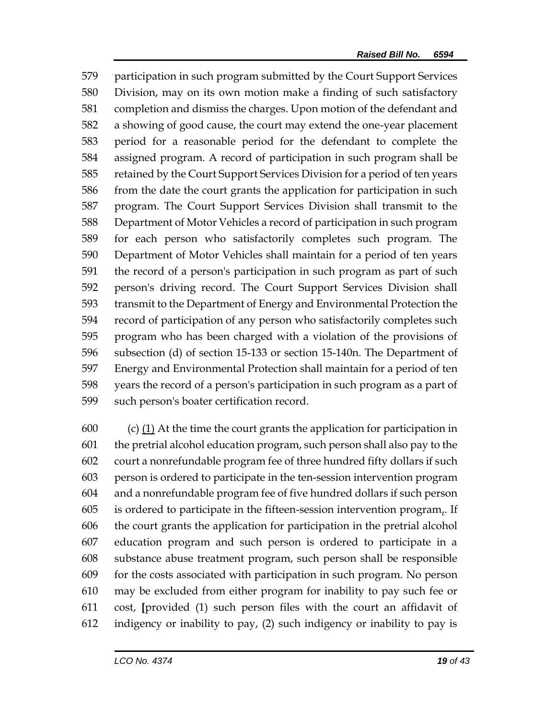participation in such program submitted by the Court Support Services Division, may on its own motion make a finding of such satisfactory completion and dismiss the charges. Upon motion of the defendant and a showing of good cause, the court may extend the one-year placement period for a reasonable period for the defendant to complete the assigned program. A record of participation in such program shall be retained by the Court Support Services Division for a period of ten years from the date the court grants the application for participation in such program. The Court Support Services Division shall transmit to the Department of Motor Vehicles a record of participation in such program for each person who satisfactorily completes such program. The Department of Motor Vehicles shall maintain for a period of ten years the record of a person's participation in such program as part of such person's driving record. The Court Support Services Division shall transmit to the Department of Energy and Environmental Protection the record of participation of any person who satisfactorily completes such program who has been charged with a violation of the provisions of subsection (d) of section 15-133 or section 15-140n. The Department of Energy and Environmental Protection shall maintain for a period of ten years the record of a person's participation in such program as a part of such person's boater certification record.

600 (c)  $(1)$  At the time the court grants the application for participation in the pretrial alcohol education program, such person shall also pay to the court a nonrefundable program fee of three hundred fifty dollars if such person is ordered to participate in the ten-session intervention program and a nonrefundable program fee of five hundred dollars if such person is ordered to participate in the fifteen-session intervention program,. If the court grants the application for participation in the pretrial alcohol education program and such person is ordered to participate in a substance abuse treatment program, such person shall be responsible for the costs associated with participation in such program. No person may be excluded from either program for inability to pay such fee or cost, **[**provided (1) such person files with the court an affidavit of indigency or inability to pay, (2) such indigency or inability to pay is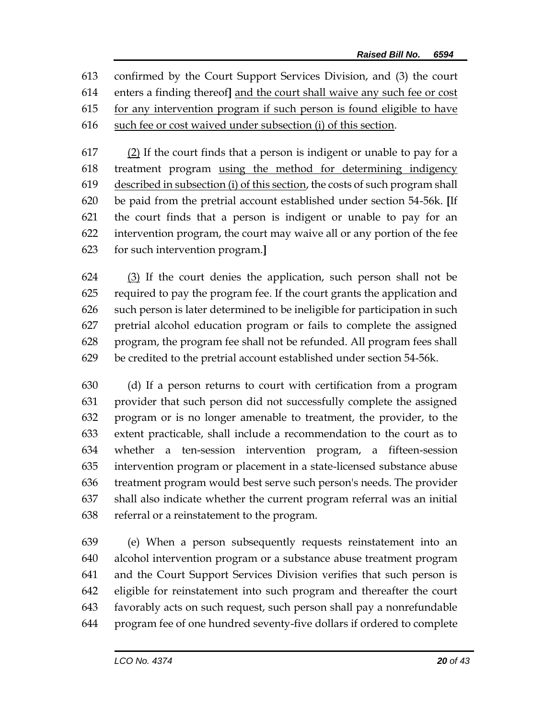confirmed by the Court Support Services Division, and (3) the court enters a finding thereof**]** and the court shall waive any such fee or cost for any intervention program if such person is found eligible to have such fee or cost waived under subsection (i) of this section.

 (2) If the court finds that a person is indigent or unable to pay for a treatment program using the method for determining indigency described in subsection (i) of this section, the costs of such program shall be paid from the pretrial account established under section 54-56k. **[**If the court finds that a person is indigent or unable to pay for an intervention program, the court may waive all or any portion of the fee for such intervention program.**]**

 (3) If the court denies the application, such person shall not be required to pay the program fee. If the court grants the application and such person is later determined to be ineligible for participation in such pretrial alcohol education program or fails to complete the assigned program, the program fee shall not be refunded. All program fees shall be credited to the pretrial account established under section 54-56k.

 (d) If a person returns to court with certification from a program provider that such person did not successfully complete the assigned program or is no longer amenable to treatment, the provider, to the extent practicable, shall include a recommendation to the court as to whether a ten-session intervention program, a fifteen-session intervention program or placement in a state-licensed substance abuse treatment program would best serve such person's needs. The provider shall also indicate whether the current program referral was an initial referral or a reinstatement to the program.

 (e) When a person subsequently requests reinstatement into an alcohol intervention program or a substance abuse treatment program and the Court Support Services Division verifies that such person is eligible for reinstatement into such program and thereafter the court favorably acts on such request, such person shall pay a nonrefundable program fee of one hundred seventy-five dollars if ordered to complete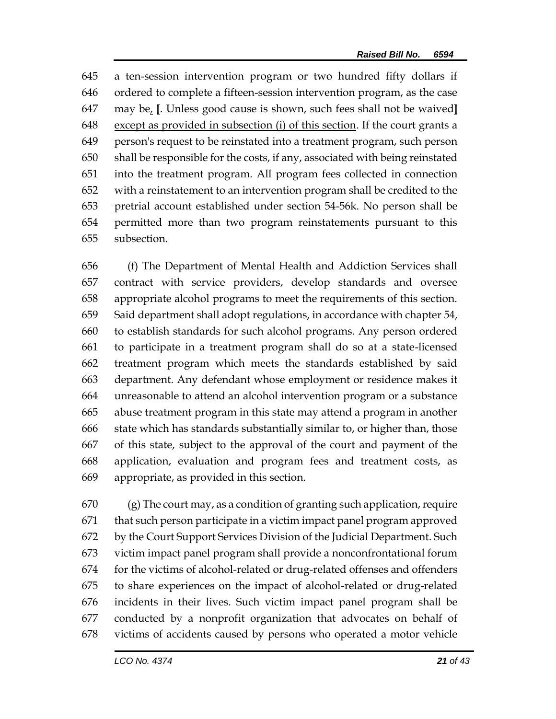a ten-session intervention program or two hundred fifty dollars if ordered to complete a fifteen-session intervention program, as the case may be, **[**. Unless good cause is shown, such fees shall not be waived**]** except as provided in subsection (i) of this section. If the court grants a person's request to be reinstated into a treatment program, such person shall be responsible for the costs, if any, associated with being reinstated into the treatment program. All program fees collected in connection with a reinstatement to an intervention program shall be credited to the pretrial account established under section 54-56k. No person shall be permitted more than two program reinstatements pursuant to this subsection.

 (f) The Department of Mental Health and Addiction Services shall contract with service providers, develop standards and oversee appropriate alcohol programs to meet the requirements of this section. Said department shall adopt regulations, in accordance with chapter 54, to establish standards for such alcohol programs. Any person ordered to participate in a treatment program shall do so at a state-licensed treatment program which meets the standards established by said department. Any defendant whose employment or residence makes it unreasonable to attend an alcohol intervention program or a substance abuse treatment program in this state may attend a program in another state which has standards substantially similar to, or higher than, those of this state, subject to the approval of the court and payment of the application, evaluation and program fees and treatment costs, as appropriate, as provided in this section.

 (g) The court may, as a condition of granting such application, require that such person participate in a victim impact panel program approved by the Court Support Services Division of the Judicial Department. Such victim impact panel program shall provide a nonconfrontational forum for the victims of alcohol-related or drug-related offenses and offenders to share experiences on the impact of alcohol-related or drug-related incidents in their lives. Such victim impact panel program shall be conducted by a nonprofit organization that advocates on behalf of victims of accidents caused by persons who operated a motor vehicle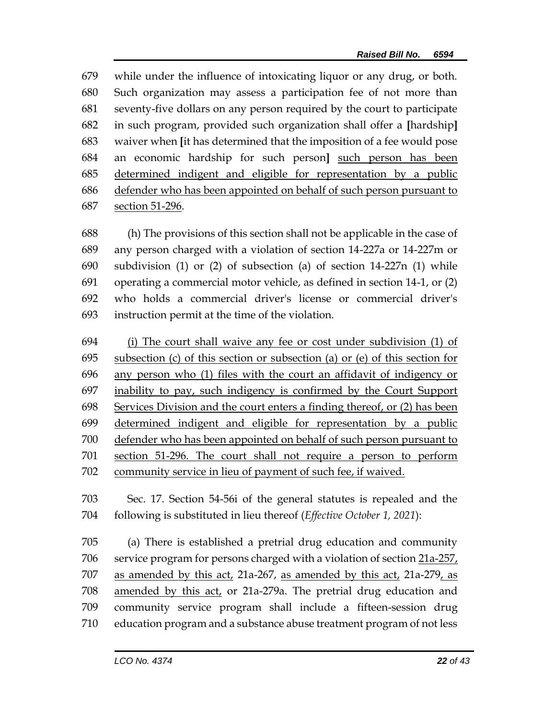while under the influence of intoxicating liquor or any drug, or both. Such organization may assess a participation fee of not more than seventy-five dollars on any person required by the court to participate in such program, provided such organization shall offer a **[**hardship**]** waiver when **[**it has determined that the imposition of a fee would pose an economic hardship for such person**]** such person has been determined indigent and eligible for representation by a public defender who has been appointed on behalf of such person pursuant to section 51-296.

 (h) The provisions of this section shall not be applicable in the case of any person charged with a violation of section 14-227a or 14-227m or subdivision (1) or (2) of subsection (a) of section 14-227n (1) while operating a commercial motor vehicle, as defined in section 14-1, or (2) who holds a commercial driver's license or commercial driver's instruction permit at the time of the violation.

 (i) The court shall waive any fee or cost under subdivision (1) of subsection (c) of this section or subsection (a) or (e) of this section for any person who (1) files with the court an affidavit of indigency or inability to pay, such indigency is confirmed by the Court Support Services Division and the court enters a finding thereof, or (2) has been determined indigent and eligible for representation by a public defender who has been appointed on behalf of such person pursuant to section 51-296. The court shall not require a person to perform community service in lieu of payment of such fee, if waived.

 Sec. 17. Section 54-56i of the general statutes is repealed and the following is substituted in lieu thereof (*Effective October 1, 2021*):

 (a) There is established a pretrial drug education and community service program for persons charged with a violation of section 21a-257, 707 as amended by this act, 21a-267, as amended by this act, 21a-279, as amended by this act, or 21a-279a. The pretrial drug education and community service program shall include a fifteen-session drug education program and a substance abuse treatment program of not less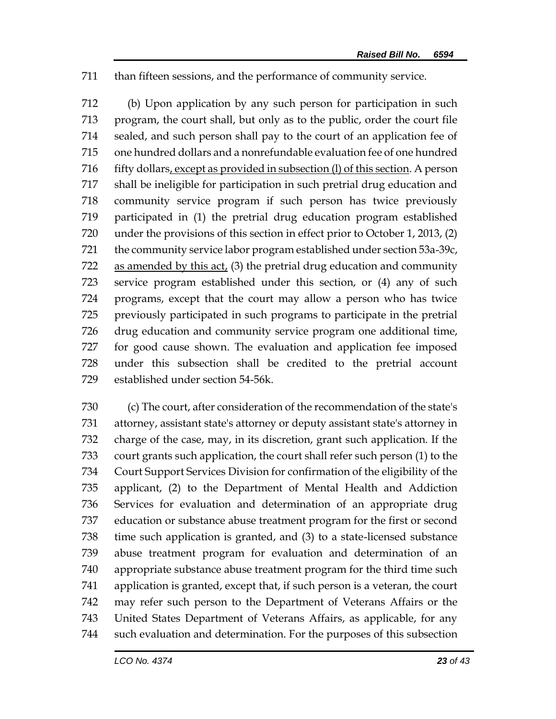than fifteen sessions, and the performance of community service.

 (b) Upon application by any such person for participation in such program, the court shall, but only as to the public, order the court file sealed, and such person shall pay to the court of an application fee of one hundred dollars and a nonrefundable evaluation fee of one hundred fifty dollars, except as provided in subsection (l) of this section. A person shall be ineligible for participation in such pretrial drug education and community service program if such person has twice previously participated in (1) the pretrial drug education program established under the provisions of this section in effect prior to October 1, 2013, (2) the community service labor program established under section 53a-39c, as amended by this act, (3) the pretrial drug education and community service program established under this section, or (4) any of such programs, except that the court may allow a person who has twice previously participated in such programs to participate in the pretrial drug education and community service program one additional time, for good cause shown. The evaluation and application fee imposed under this subsection shall be credited to the pretrial account established under section 54-56k.

 (c) The court, after consideration of the recommendation of the state's attorney, assistant state's attorney or deputy assistant state's attorney in charge of the case, may, in its discretion, grant such application. If the court grants such application, the court shall refer such person (1) to the Court Support Services Division for confirmation of the eligibility of the applicant, (2) to the Department of Mental Health and Addiction Services for evaluation and determination of an appropriate drug education or substance abuse treatment program for the first or second time such application is granted, and (3) to a state-licensed substance abuse treatment program for evaluation and determination of an appropriate substance abuse treatment program for the third time such application is granted, except that, if such person is a veteran, the court may refer such person to the Department of Veterans Affairs or the United States Department of Veterans Affairs, as applicable, for any such evaluation and determination. For the purposes of this subsection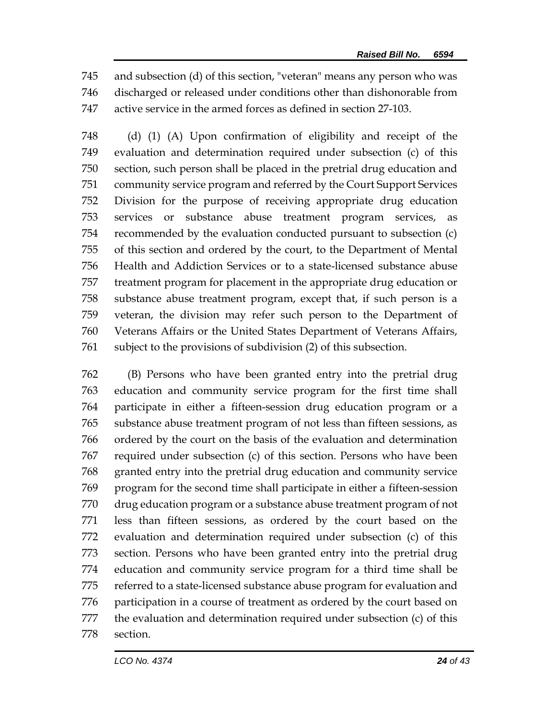and subsection (d) of this section, "veteran" means any person who was discharged or released under conditions other than dishonorable from active service in the armed forces as defined in section 27-103.

 (d) (1) (A) Upon confirmation of eligibility and receipt of the evaluation and determination required under subsection (c) of this section, such person shall be placed in the pretrial drug education and community service program and referred by the Court Support Services Division for the purpose of receiving appropriate drug education services or substance abuse treatment program services, as recommended by the evaluation conducted pursuant to subsection (c) of this section and ordered by the court, to the Department of Mental Health and Addiction Services or to a state-licensed substance abuse treatment program for placement in the appropriate drug education or substance abuse treatment program, except that, if such person is a veteran, the division may refer such person to the Department of Veterans Affairs or the United States Department of Veterans Affairs, subject to the provisions of subdivision (2) of this subsection.

 (B) Persons who have been granted entry into the pretrial drug education and community service program for the first time shall participate in either a fifteen-session drug education program or a substance abuse treatment program of not less than fifteen sessions, as ordered by the court on the basis of the evaluation and determination required under subsection (c) of this section. Persons who have been granted entry into the pretrial drug education and community service program for the second time shall participate in either a fifteen-session drug education program or a substance abuse treatment program of not less than fifteen sessions, as ordered by the court based on the evaluation and determination required under subsection (c) of this section. Persons who have been granted entry into the pretrial drug education and community service program for a third time shall be referred to a state-licensed substance abuse program for evaluation and participation in a course of treatment as ordered by the court based on the evaluation and determination required under subsection (c) of this section.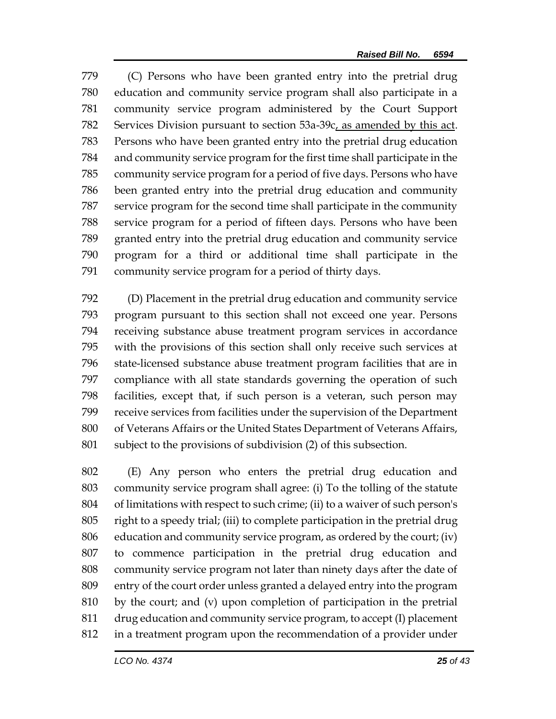(C) Persons who have been granted entry into the pretrial drug education and community service program shall also participate in a community service program administered by the Court Support Services Division pursuant to section 53a-39c, as amended by this act. Persons who have been granted entry into the pretrial drug education and community service program for the first time shall participate in the community service program for a period of five days. Persons who have been granted entry into the pretrial drug education and community service program for the second time shall participate in the community service program for a period of fifteen days. Persons who have been granted entry into the pretrial drug education and community service program for a third or additional time shall participate in the community service program for a period of thirty days.

 (D) Placement in the pretrial drug education and community service program pursuant to this section shall not exceed one year. Persons receiving substance abuse treatment program services in accordance with the provisions of this section shall only receive such services at state-licensed substance abuse treatment program facilities that are in compliance with all state standards governing the operation of such facilities, except that, if such person is a veteran, such person may receive services from facilities under the supervision of the Department of Veterans Affairs or the United States Department of Veterans Affairs, subject to the provisions of subdivision (2) of this subsection.

 (E) Any person who enters the pretrial drug education and community service program shall agree: (i) To the tolling of the statute of limitations with respect to such crime; (ii) to a waiver of such person's right to a speedy trial; (iii) to complete participation in the pretrial drug education and community service program, as ordered by the court; (iv) to commence participation in the pretrial drug education and community service program not later than ninety days after the date of entry of the court order unless granted a delayed entry into the program by the court; and (v) upon completion of participation in the pretrial drug education and community service program, to accept (I) placement in a treatment program upon the recommendation of a provider under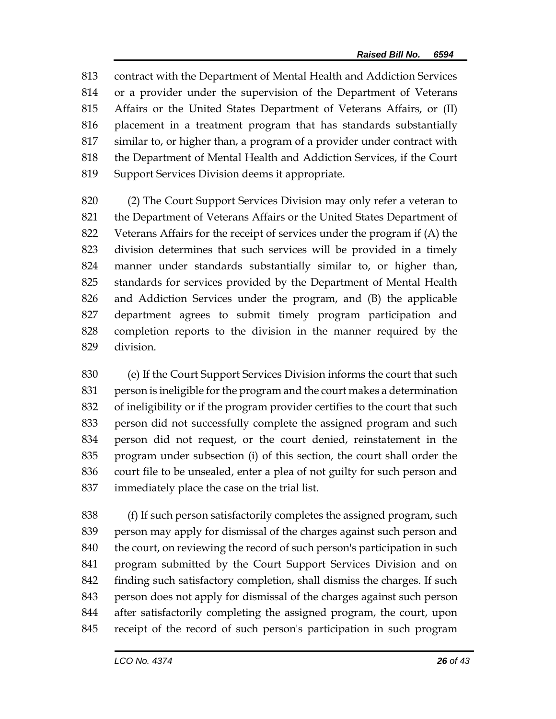contract with the Department of Mental Health and Addiction Services or a provider under the supervision of the Department of Veterans Affairs or the United States Department of Veterans Affairs, or (II) placement in a treatment program that has standards substantially similar to, or higher than, a program of a provider under contract with the Department of Mental Health and Addiction Services, if the Court Support Services Division deems it appropriate.

 (2) The Court Support Services Division may only refer a veteran to the Department of Veterans Affairs or the United States Department of Veterans Affairs for the receipt of services under the program if (A) the division determines that such services will be provided in a timely manner under standards substantially similar to, or higher than, standards for services provided by the Department of Mental Health and Addiction Services under the program, and (B) the applicable department agrees to submit timely program participation and completion reports to the division in the manner required by the division.

 (e) If the Court Support Services Division informs the court that such person is ineligible for the program and the court makes a determination of ineligibility or if the program provider certifies to the court that such person did not successfully complete the assigned program and such person did not request, or the court denied, reinstatement in the program under subsection (i) of this section, the court shall order the court file to be unsealed, enter a plea of not guilty for such person and immediately place the case on the trial list.

 (f) If such person satisfactorily completes the assigned program, such person may apply for dismissal of the charges against such person and 840 the court, on reviewing the record of such person's participation in such program submitted by the Court Support Services Division and on finding such satisfactory completion, shall dismiss the charges. If such person does not apply for dismissal of the charges against such person after satisfactorily completing the assigned program, the court, upon receipt of the record of such person's participation in such program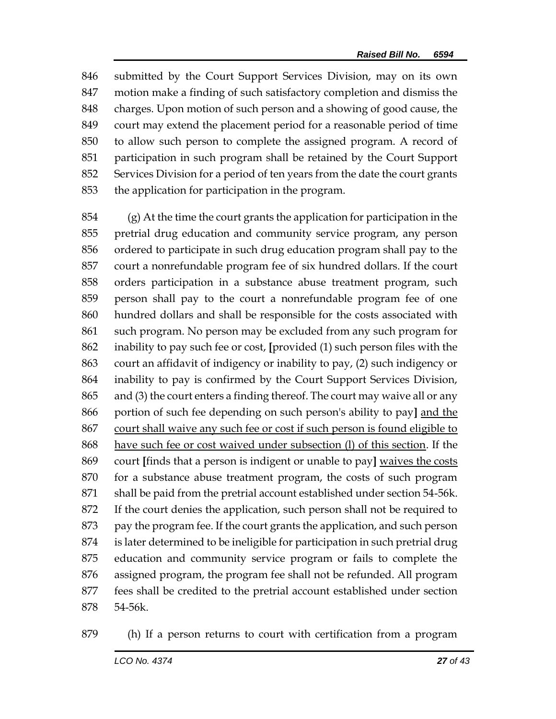submitted by the Court Support Services Division, may on its own motion make a finding of such satisfactory completion and dismiss the charges. Upon motion of such person and a showing of good cause, the court may extend the placement period for a reasonable period of time to allow such person to complete the assigned program. A record of participation in such program shall be retained by the Court Support Services Division for a period of ten years from the date the court grants the application for participation in the program.

 (g) At the time the court grants the application for participation in the pretrial drug education and community service program, any person ordered to participate in such drug education program shall pay to the court a nonrefundable program fee of six hundred dollars. If the court orders participation in a substance abuse treatment program, such person shall pay to the court a nonrefundable program fee of one hundred dollars and shall be responsible for the costs associated with such program. No person may be excluded from any such program for inability to pay such fee or cost, **[**provided (1) such person files with the court an affidavit of indigency or inability to pay, (2) such indigency or inability to pay is confirmed by the Court Support Services Division, and (3) the court enters a finding thereof. The court may waive all or any portion of such fee depending on such person's ability to pay**]** and the court shall waive any such fee or cost if such person is found eligible to have such fee or cost waived under subsection (l) of this section. If the court **[**finds that a person is indigent or unable to pay**]** waives the costs for a substance abuse treatment program, the costs of such program shall be paid from the pretrial account established under section 54-56k. If the court denies the application, such person shall not be required to pay the program fee. If the court grants the application, and such person is later determined to be ineligible for participation in such pretrial drug education and community service program or fails to complete the assigned program, the program fee shall not be refunded. All program fees shall be credited to the pretrial account established under section 54-56k.

(h) If a person returns to court with certification from a program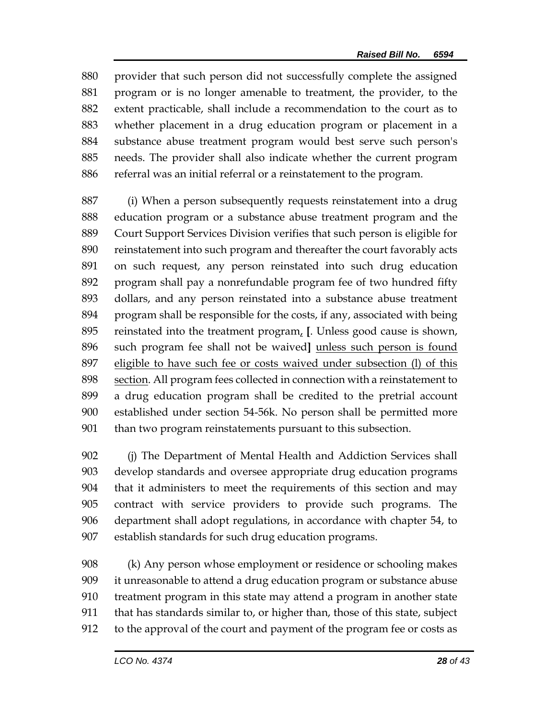provider that such person did not successfully complete the assigned program or is no longer amenable to treatment, the provider, to the extent practicable, shall include a recommendation to the court as to whether placement in a drug education program or placement in a substance abuse treatment program would best serve such person's needs. The provider shall also indicate whether the current program referral was an initial referral or a reinstatement to the program.

 (i) When a person subsequently requests reinstatement into a drug education program or a substance abuse treatment program and the Court Support Services Division verifies that such person is eligible for reinstatement into such program and thereafter the court favorably acts on such request, any person reinstated into such drug education program shall pay a nonrefundable program fee of two hundred fifty dollars, and any person reinstated into a substance abuse treatment program shall be responsible for the costs, if any, associated with being reinstated into the treatment program, **[**. Unless good cause is shown, such program fee shall not be waived**]** unless such person is found 897 eligible to have such fee or costs waived under subsection (I) of this section. All program fees collected in connection with a reinstatement to a drug education program shall be credited to the pretrial account established under section 54-56k. No person shall be permitted more than two program reinstatements pursuant to this subsection.

 (j) The Department of Mental Health and Addiction Services shall develop standards and oversee appropriate drug education programs that it administers to meet the requirements of this section and may contract with service providers to provide such programs. The department shall adopt regulations, in accordance with chapter 54, to establish standards for such drug education programs.

 (k) Any person whose employment or residence or schooling makes it unreasonable to attend a drug education program or substance abuse treatment program in this state may attend a program in another state that has standards similar to, or higher than, those of this state, subject to the approval of the court and payment of the program fee or costs as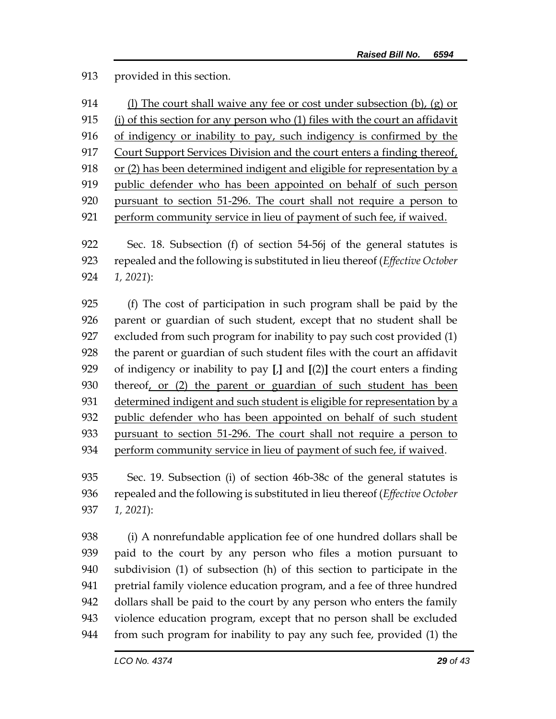provided in this section.

| 914 | (l) The court shall waive any fee or cost under subsection $(b)$ , $(g)$ or  |
|-----|------------------------------------------------------------------------------|
| 915 | (i) of this section for any person who (1) files with the court an affidavit |
| 916 | of indigency or inability to pay, such indigency is confirmed by the         |
| 917 | Court Support Services Division and the court enters a finding thereof,      |
| 918 | or (2) has been determined indigent and eligible for representation by a     |
| 919 | public defender who has been appointed on behalf of such person              |
| 920 | pursuant to section 51-296. The court shall not require a person to          |
| 921 | perform community service in lieu of payment of such fee, if waived.         |
|     |                                                                              |

 Sec. 18. Subsection (f) of section 54-56j of the general statutes is repealed and the following is substituted in lieu thereof (*Effective October 1, 2021*):

 (f) The cost of participation in such program shall be paid by the parent or guardian of such student, except that no student shall be excluded from such program for inability to pay such cost provided (1) the parent or guardian of such student files with the court an affidavit of indigency or inability to pay **[**,**]** and **[**(2)**]** the court enters a finding thereof, or (2) the parent or guardian of such student has been determined indigent and such student is eligible for representation by a public defender who has been appointed on behalf of such student pursuant to section 51-296. The court shall not require a person to 934 perform community service in lieu of payment of such fee, if waived.

 Sec. 19. Subsection (i) of section 46b-38c of the general statutes is repealed and the following is substituted in lieu thereof (*Effective October 1, 2021*):

 (i) A nonrefundable application fee of one hundred dollars shall be paid to the court by any person who files a motion pursuant to subdivision (1) of subsection (h) of this section to participate in the pretrial family violence education program, and a fee of three hundred dollars shall be paid to the court by any person who enters the family violence education program, except that no person shall be excluded from such program for inability to pay any such fee, provided (1) the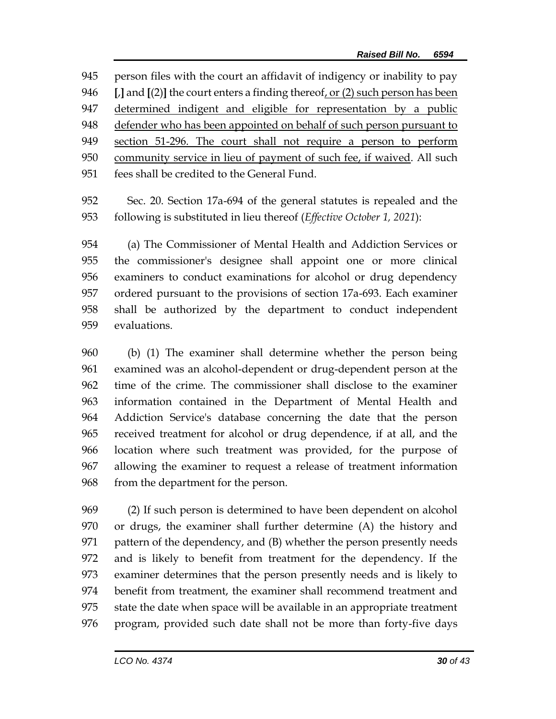person files with the court an affidavit of indigency or inability to pay **[**,**]** and **[**(2)**]** the court enters a finding thereof, or (2) such person has been determined indigent and eligible for representation by a public defender who has been appointed on behalf of such person pursuant to section 51-296. The court shall not require a person to perform community service in lieu of payment of such fee, if waived. All such fees shall be credited to the General Fund.

 Sec. 20. Section 17a-694 of the general statutes is repealed and the following is substituted in lieu thereof (*Effective October 1, 2021*):

 (a) The Commissioner of Mental Health and Addiction Services or the commissioner's designee shall appoint one or more clinical examiners to conduct examinations for alcohol or drug dependency ordered pursuant to the provisions of section 17a-693. Each examiner shall be authorized by the department to conduct independent evaluations.

 (b) (1) The examiner shall determine whether the person being examined was an alcohol-dependent or drug-dependent person at the time of the crime. The commissioner shall disclose to the examiner information contained in the Department of Mental Health and Addiction Service's database concerning the date that the person received treatment for alcohol or drug dependence, if at all, and the location where such treatment was provided, for the purpose of allowing the examiner to request a release of treatment information from the department for the person.

 (2) If such person is determined to have been dependent on alcohol or drugs, the examiner shall further determine (A) the history and pattern of the dependency, and (B) whether the person presently needs and is likely to benefit from treatment for the dependency. If the examiner determines that the person presently needs and is likely to benefit from treatment, the examiner shall recommend treatment and state the date when space will be available in an appropriate treatment program, provided such date shall not be more than forty-five days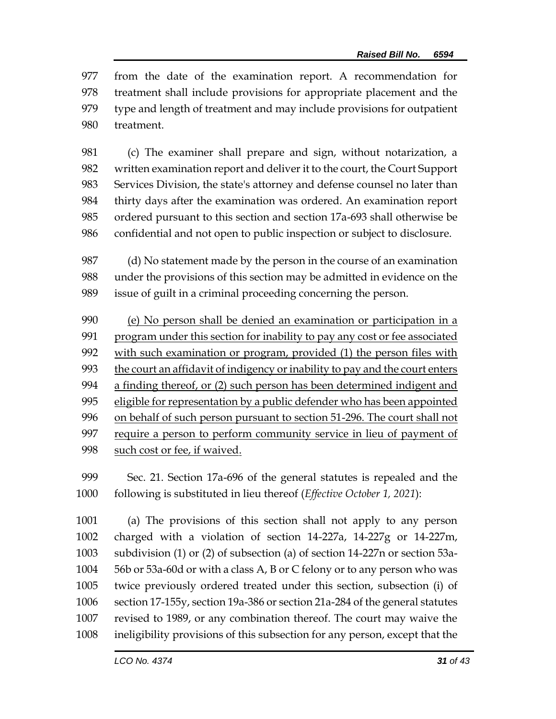from the date of the examination report. A recommendation for treatment shall include provisions for appropriate placement and the type and length of treatment and may include provisions for outpatient treatment.

 (c) The examiner shall prepare and sign, without notarization, a written examination report and deliver it to the court, the Court Support Services Division, the state's attorney and defense counsel no later than thirty days after the examination was ordered. An examination report ordered pursuant to this section and section 17a-693 shall otherwise be confidential and not open to public inspection or subject to disclosure.

 (d) No statement made by the person in the course of an examination under the provisions of this section may be admitted in evidence on the issue of guilt in a criminal proceeding concerning the person.

 (e) No person shall be denied an examination or participation in a 991 program under this section for inability to pay any cost or fee associated 992 with such examination or program, provided (1) the person files with the court an affidavit of indigency or inability to pay and the court enters a finding thereof, or (2) such person has been determined indigent and eligible for representation by a public defender who has been appointed on behalf of such person pursuant to section 51-296. The court shall not 997 require a person to perform community service in lieu of payment of 998 such cost or fee, if waived.

 Sec. 21. Section 17a-696 of the general statutes is repealed and the following is substituted in lieu thereof (*Effective October 1, 2021*):

 (a) The provisions of this section shall not apply to any person charged with a violation of section 14-227a, 14-227g or 14-227m, subdivision (1) or (2) of subsection (a) of section 14-227n or section 53a- 56b or 53a-60d or with a class A, B or C felony or to any person who was twice previously ordered treated under this section, subsection (i) of section 17-155y, section 19a-386 or section 21a-284 of the general statutes revised to 1989, or any combination thereof. The court may waive the ineligibility provisions of this subsection for any person, except that the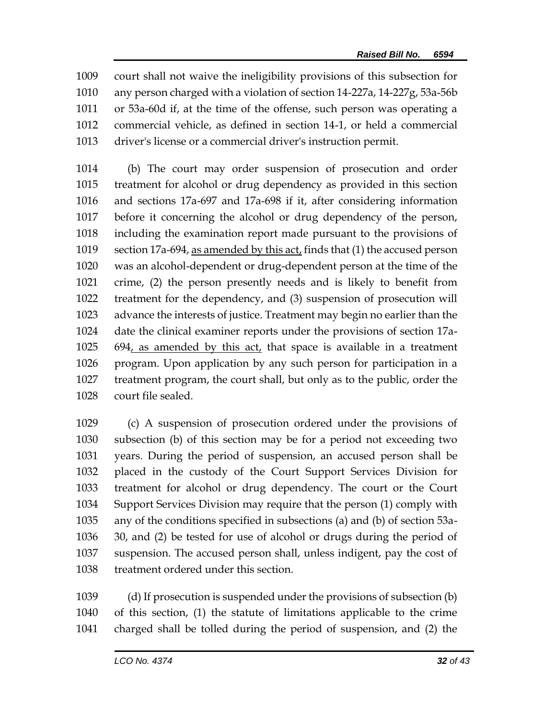court shall not waive the ineligibility provisions of this subsection for any person charged with a violation of section 14-227a, 14-227g, 53a-56b or 53a-60d if, at the time of the offense, such person was operating a commercial vehicle, as defined in section 14-1, or held a commercial driver's license or a commercial driver's instruction permit.

 (b) The court may order suspension of prosecution and order treatment for alcohol or drug dependency as provided in this section and sections 17a-697 and 17a-698 if it, after considering information before it concerning the alcohol or drug dependency of the person, including the examination report made pursuant to the provisions of section 17a-694, as amended by this act, finds that (1) the accused person was an alcohol-dependent or drug-dependent person at the time of the crime, (2) the person presently needs and is likely to benefit from treatment for the dependency, and (3) suspension of prosecution will advance the interests of justice. Treatment may begin no earlier than the date the clinical examiner reports under the provisions of section 17a- 694, as amended by this act, that space is available in a treatment program. Upon application by any such person for participation in a treatment program, the court shall, but only as to the public, order the court file sealed.

 (c) A suspension of prosecution ordered under the provisions of subsection (b) of this section may be for a period not exceeding two years. During the period of suspension, an accused person shall be placed in the custody of the Court Support Services Division for treatment for alcohol or drug dependency. The court or the Court Support Services Division may require that the person (1) comply with any of the conditions specified in subsections (a) and (b) of section 53a- 30, and (2) be tested for use of alcohol or drugs during the period of suspension. The accused person shall, unless indigent, pay the cost of treatment ordered under this section.

 (d) If prosecution is suspended under the provisions of subsection (b) of this section, (1) the statute of limitations applicable to the crime charged shall be tolled during the period of suspension, and (2) the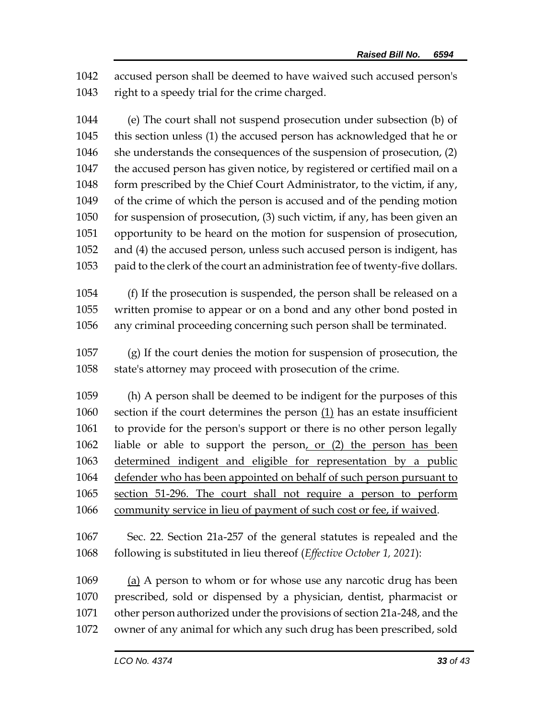accused person shall be deemed to have waived such accused person's right to a speedy trial for the crime charged.

 (e) The court shall not suspend prosecution under subsection (b) of this section unless (1) the accused person has acknowledged that he or she understands the consequences of the suspension of prosecution, (2) the accused person has given notice, by registered or certified mail on a form prescribed by the Chief Court Administrator, to the victim, if any, of the crime of which the person is accused and of the pending motion for suspension of prosecution, (3) such victim, if any, has been given an opportunity to be heard on the motion for suspension of prosecution, and (4) the accused person, unless such accused person is indigent, has paid to the clerk of the court an administration fee of twenty-five dollars.

 (f) If the prosecution is suspended, the person shall be released on a written promise to appear or on a bond and any other bond posted in any criminal proceeding concerning such person shall be terminated.

 (g) If the court denies the motion for suspension of prosecution, the state's attorney may proceed with prosecution of the crime.

 (h) A person shall be deemed to be indigent for the purposes of this section if the court determines the person (1) has an estate insufficient to provide for the person's support or there is no other person legally liable or able to support the person, or (2) the person has been determined indigent and eligible for representation by a public defender who has been appointed on behalf of such person pursuant to section 51-296. The court shall not require a person to perform community service in lieu of payment of such cost or fee, if waived.

 Sec. 22. Section 21a-257 of the general statutes is repealed and the following is substituted in lieu thereof (*Effective October 1, 2021*):

 (a) A person to whom or for whose use any narcotic drug has been prescribed, sold or dispensed by a physician, dentist, pharmacist or other person authorized under the provisions of section 21a-248, and the owner of any animal for which any such drug has been prescribed, sold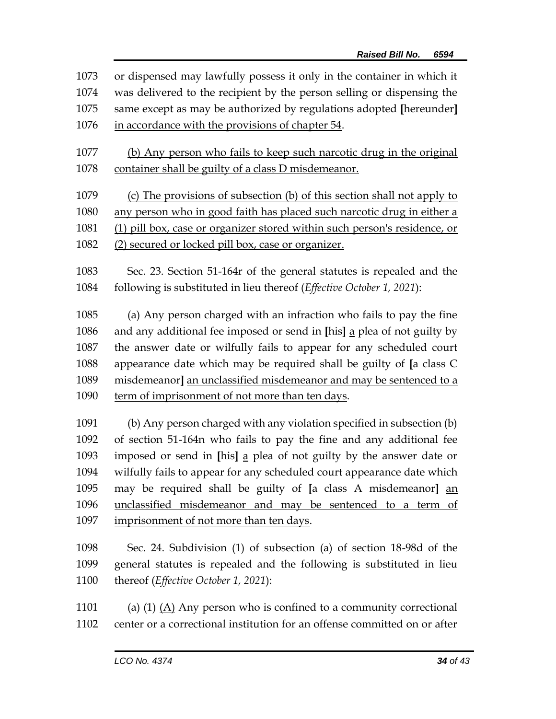or dispensed may lawfully possess it only in the container in which it was delivered to the recipient by the person selling or dispensing the same except as may be authorized by regulations adopted **[**hereunder**]** in accordance with the provisions of chapter 54. (b) Any person who fails to keep such narcotic drug in the original container shall be guilty of a class D misdemeanor. (c) The provisions of subsection (b) of this section shall not apply to 1080 any person who in good faith has placed such narcotic drug in either a (1) pill box, case or organizer stored within such person's residence, or (2) secured or locked pill box, case or organizer. Sec. 23. Section 51-164r of the general statutes is repealed and the following is substituted in lieu thereof (*Effective October 1, 2021*): (a) Any person charged with an infraction who fails to pay the fine and any additional fee imposed or send in **[**his**]** a plea of not guilty by the answer date or wilfully fails to appear for any scheduled court appearance date which may be required shall be guilty of **[**a class C misdemeanor**]** an unclassified misdemeanor and may be sentenced to a 1090 term of imprisonment of not more than ten days. (b) Any person charged with any violation specified in subsection (b) of section 51-164n who fails to pay the fine and any additional fee imposed or send in **[**his**]** a plea of not guilty by the answer date or wilfully fails to appear for any scheduled court appearance date which may be required shall be guilty of **[**a class A misdemeanor**]** an unclassified misdemeanor and may be sentenced to a term of imprisonment of not more than ten days.

- Sec. 24. Subdivision (1) of subsection (a) of section 18-98d of the general statutes is repealed and the following is substituted in lieu thereof (*Effective October 1, 2021*):
- 1101 (a) (1)  $(A)$  Any person who is confined to a community correctional center or a correctional institution for an offense committed on or after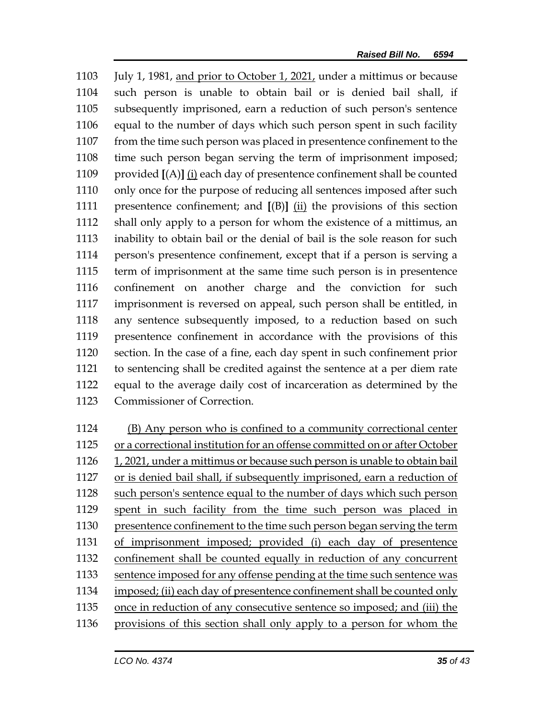July 1, 1981, and prior to October 1, 2021, under a mittimus or because such person is unable to obtain bail or is denied bail shall, if subsequently imprisoned, earn a reduction of such person's sentence equal to the number of days which such person spent in such facility from the time such person was placed in presentence confinement to the time such person began serving the term of imprisonment imposed; provided **[**(A)**]** (i) each day of presentence confinement shall be counted only once for the purpose of reducing all sentences imposed after such presentence confinement; and **[**(B)**]** (ii) the provisions of this section shall only apply to a person for whom the existence of a mittimus, an inability to obtain bail or the denial of bail is the sole reason for such person's presentence confinement, except that if a person is serving a term of imprisonment at the same time such person is in presentence confinement on another charge and the conviction for such imprisonment is reversed on appeal, such person shall be entitled, in any sentence subsequently imposed, to a reduction based on such presentence confinement in accordance with the provisions of this section. In the case of a fine, each day spent in such confinement prior to sentencing shall be credited against the sentence at a per diem rate equal to the average daily cost of incarceration as determined by the Commissioner of Correction.

 (B) Any person who is confined to a community correctional center or a correctional institution for an offense committed on or after October 1, 2021, under a mittimus or because such person is unable to obtain bail 1127 or is denied bail shall, if subsequently imprisoned, earn a reduction of 1128 such person's sentence equal to the number of days which such person spent in such facility from the time such person was placed in presentence confinement to the time such person began serving the term of imprisonment imposed; provided (i) each day of presentence confinement shall be counted equally in reduction of any concurrent 1133 sentence imposed for any offense pending at the time such sentence was imposed; (ii) each day of presentence confinement shall be counted only once in reduction of any consecutive sentence so imposed; and (iii) the provisions of this section shall only apply to a person for whom the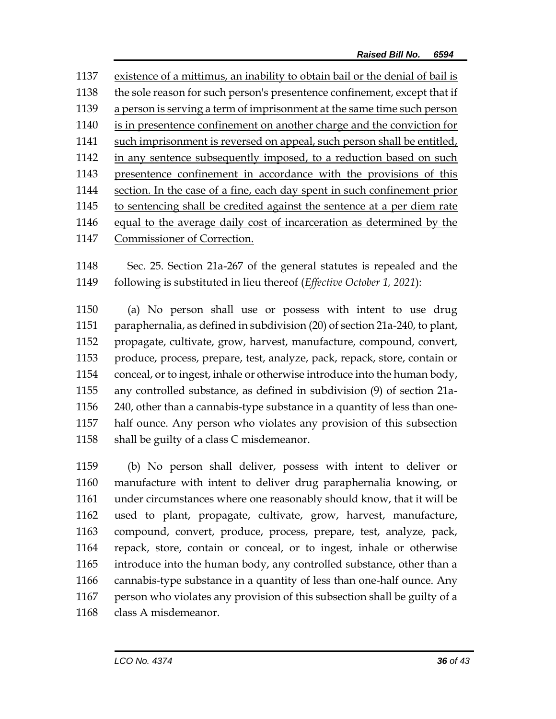| 1138<br>1139<br>1140<br>1141<br>1142<br>1143<br>1144<br>1145<br>1146<br>Commissioner of Correction.<br>1147 | 1137 | existence of a mittimus, an inability to obtain bail or the denial of bail is |
|-------------------------------------------------------------------------------------------------------------|------|-------------------------------------------------------------------------------|
|                                                                                                             |      | the sole reason for such person's presentence confinement, except that if     |
|                                                                                                             |      | a person is serving a term of imprisonment at the same time such person       |
|                                                                                                             |      | is in presentence confinement on another charge and the conviction for        |
|                                                                                                             |      | such imprisonment is reversed on appeal, such person shall be entitled,       |
|                                                                                                             |      | in any sentence subsequently imposed, to a reduction based on such            |
|                                                                                                             |      | presentence confinement in accordance with the provisions of this             |
|                                                                                                             |      | section. In the case of a fine, each day spent in such confinement prior      |
|                                                                                                             |      | to sentencing shall be credited against the sentence at a per diem rate       |
|                                                                                                             |      | equal to the average daily cost of incarceration as determined by the         |
|                                                                                                             |      |                                                                               |

1148 Sec. 25. Section 21a-267 of the general statutes is repealed and the 1149 following is substituted in lieu thereof (*Effective October 1, 2021*):

 (a) No person shall use or possess with intent to use drug paraphernalia, as defined in subdivision (20) of section 21a-240, to plant, propagate, cultivate, grow, harvest, manufacture, compound, convert, produce, process, prepare, test, analyze, pack, repack, store, contain or conceal, or to ingest, inhale or otherwise introduce into the human body, any controlled substance, as defined in subdivision (9) of section 21a- 240, other than a cannabis-type substance in a quantity of less than one- half ounce. Any person who violates any provision of this subsection 1158 shall be guilty of a class C misdemeanor.

 (b) No person shall deliver, possess with intent to deliver or manufacture with intent to deliver drug paraphernalia knowing, or under circumstances where one reasonably should know, that it will be used to plant, propagate, cultivate, grow, harvest, manufacture, compound, convert, produce, process, prepare, test, analyze, pack, repack, store, contain or conceal, or to ingest, inhale or otherwise introduce into the human body, any controlled substance, other than a cannabis-type substance in a quantity of less than one-half ounce. Any person who violates any provision of this subsection shall be guilty of a class A misdemeanor.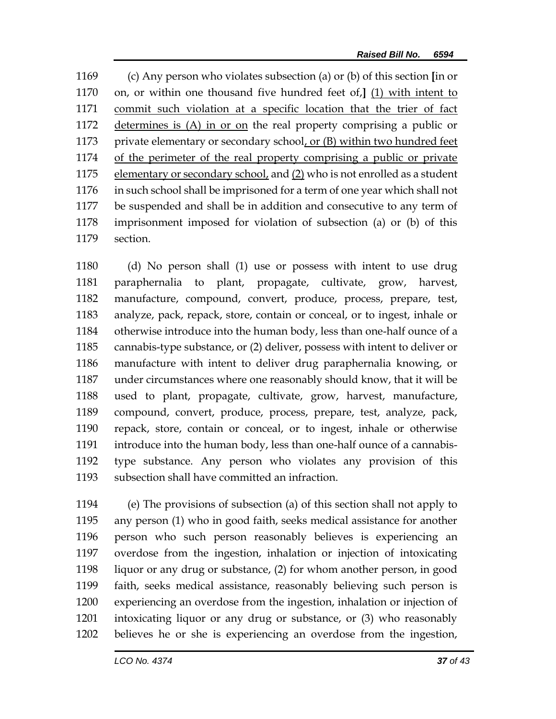(c) Any person who violates subsection (a) or (b) of this section **[**in or on, or within one thousand five hundred feet of,**]** (1) with intent to commit such violation at a specific location that the trier of fact determines is (A) in or on the real property comprising a public or private elementary or secondary school, or (B) within two hundred feet of the perimeter of the real property comprising a public or private 1175 elementary or secondary school, and (2) who is not enrolled as a student in such school shall be imprisoned for a term of one year which shall not be suspended and shall be in addition and consecutive to any term of imprisonment imposed for violation of subsection (a) or (b) of this section.

 (d) No person shall (1) use or possess with intent to use drug paraphernalia to plant, propagate, cultivate, grow, harvest, manufacture, compound, convert, produce, process, prepare, test, analyze, pack, repack, store, contain or conceal, or to ingest, inhale or otherwise introduce into the human body, less than one-half ounce of a cannabis-type substance, or (2) deliver, possess with intent to deliver or manufacture with intent to deliver drug paraphernalia knowing, or under circumstances where one reasonably should know, that it will be used to plant, propagate, cultivate, grow, harvest, manufacture, compound, convert, produce, process, prepare, test, analyze, pack, repack, store, contain or conceal, or to ingest, inhale or otherwise introduce into the human body, less than one-half ounce of a cannabis- type substance. Any person who violates any provision of this subsection shall have committed an infraction.

 (e) The provisions of subsection (a) of this section shall not apply to any person (1) who in good faith, seeks medical assistance for another person who such person reasonably believes is experiencing an overdose from the ingestion, inhalation or injection of intoxicating liquor or any drug or substance, (2) for whom another person, in good faith, seeks medical assistance, reasonably believing such person is experiencing an overdose from the ingestion, inhalation or injection of intoxicating liquor or any drug or substance, or (3) who reasonably believes he or she is experiencing an overdose from the ingestion,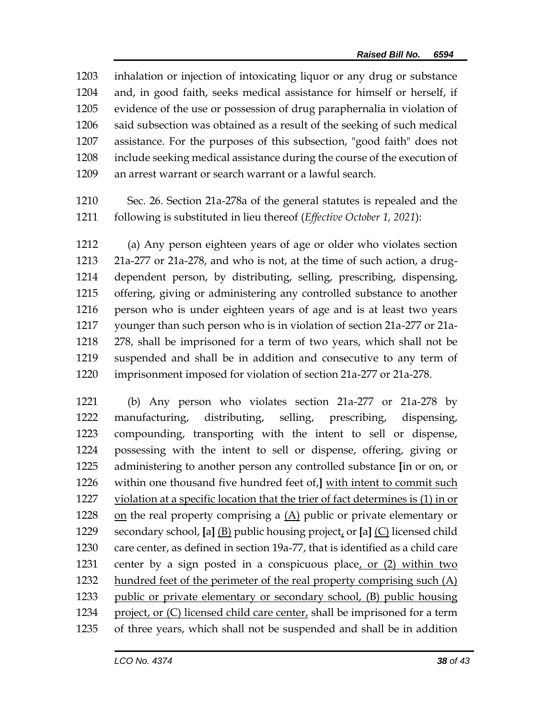inhalation or injection of intoxicating liquor or any drug or substance and, in good faith, seeks medical assistance for himself or herself, if evidence of the use or possession of drug paraphernalia in violation of said subsection was obtained as a result of the seeking of such medical assistance. For the purposes of this subsection, "good faith" does not include seeking medical assistance during the course of the execution of an arrest warrant or search warrant or a lawful search.

 Sec. 26. Section 21a-278a of the general statutes is repealed and the following is substituted in lieu thereof (*Effective October 1, 2021*):

 (a) Any person eighteen years of age or older who violates section 21a-277 or 21a-278, and who is not, at the time of such action, a drug- dependent person, by distributing, selling, prescribing, dispensing, offering, giving or administering any controlled substance to another person who is under eighteen years of age and is at least two years younger than such person who is in violation of section 21a-277 or 21a- 278, shall be imprisoned for a term of two years, which shall not be suspended and shall be in addition and consecutive to any term of imprisonment imposed for violation of section 21a-277 or 21a-278.

 (b) Any person who violates section 21a-277 or 21a-278 by manufacturing, distributing, selling, prescribing, dispensing, compounding, transporting with the intent to sell or dispense, possessing with the intent to sell or dispense, offering, giving or administering to another person any controlled substance **[**in or on, or within one thousand five hundred feet of,**]** with intent to commit such violation at a specific location that the trier of fact determines is (1) in or on the real property comprising a (A) public or private elementary or secondary school, **[**a**]** (B) public housing project, or **[**a**]** (C) licensed child care center, as defined in section 19a-77, that is identified as a child care center by a sign posted in a conspicuous place, or (2) within two 1232 hundred feet of the perimeter of the real property comprising such (A) public or private elementary or secondary school, (B) public housing 1234 project, or  $(C)$  licensed child care center, shall be imprisoned for a term of three years, which shall not be suspended and shall be in addition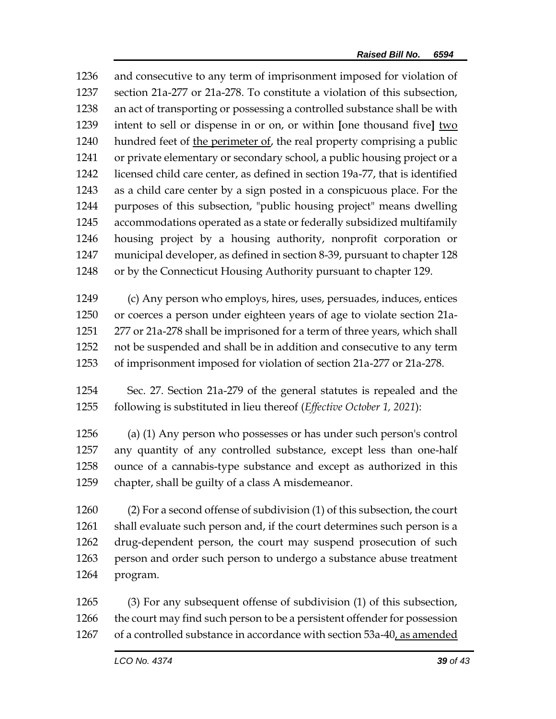and consecutive to any term of imprisonment imposed for violation of section 21a-277 or 21a-278. To constitute a violation of this subsection, an act of transporting or possessing a controlled substance shall be with intent to sell or dispense in or on, or within **[**one thousand five**]** two hundred feet of the perimeter of, the real property comprising a public or private elementary or secondary school, a public housing project or a licensed child care center, as defined in section 19a-77, that is identified as a child care center by a sign posted in a conspicuous place. For the purposes of this subsection, "public housing project" means dwelling accommodations operated as a state or federally subsidized multifamily housing project by a housing authority, nonprofit corporation or municipal developer, as defined in section 8-39, pursuant to chapter 128 or by the Connecticut Housing Authority pursuant to chapter 129.

 (c) Any person who employs, hires, uses, persuades, induces, entices or coerces a person under eighteen years of age to violate section 21a- 277 or 21a-278 shall be imprisoned for a term of three years, which shall not be suspended and shall be in addition and consecutive to any term of imprisonment imposed for violation of section 21a-277 or 21a-278.

 Sec. 27. Section 21a-279 of the general statutes is repealed and the following is substituted in lieu thereof (*Effective October 1, 2021*):

 (a) (1) Any person who possesses or has under such person's control any quantity of any controlled substance, except less than one-half ounce of a cannabis-type substance and except as authorized in this chapter, shall be guilty of a class A misdemeanor.

 (2) For a second offense of subdivision (1) of this subsection, the court shall evaluate such person and, if the court determines such person is a drug-dependent person, the court may suspend prosecution of such person and order such person to undergo a substance abuse treatment program.

 (3) For any subsequent offense of subdivision (1) of this subsection, the court may find such person to be a persistent offender for possession of a controlled substance in accordance with section 53a-40, as amended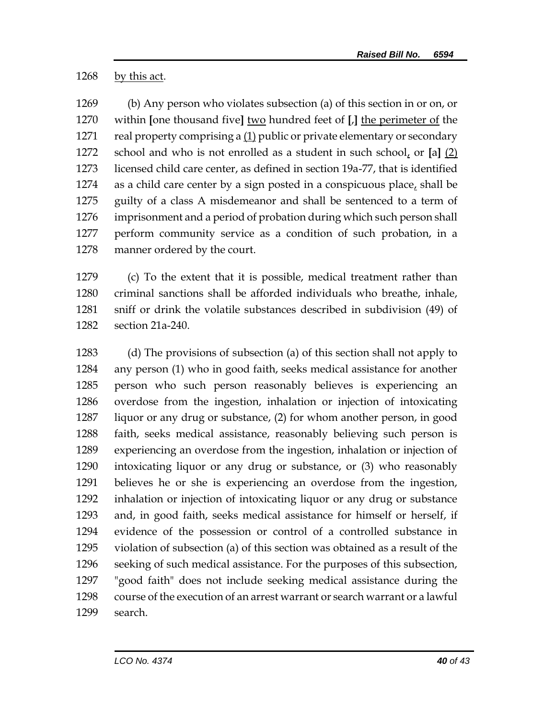by this act.

 (b) Any person who violates subsection (a) of this section in or on, or within **[**one thousand five**]** two hundred feet of **[**,**]** the perimeter of the real property comprising a (1) public or private elementary or secondary school and who is not enrolled as a student in such school, or **[**a**]** (2) licensed child care center, as defined in section 19a-77, that is identified 1274 as a child care center by a sign posted in a conspicuous place, shall be guilty of a class A misdemeanor and shall be sentenced to a term of imprisonment and a period of probation during which such person shall perform community service as a condition of such probation, in a manner ordered by the court.

 (c) To the extent that it is possible, medical treatment rather than criminal sanctions shall be afforded individuals who breathe, inhale, sniff or drink the volatile substances described in subdivision (49) of section 21a-240.

 (d) The provisions of subsection (a) of this section shall not apply to any person (1) who in good faith, seeks medical assistance for another person who such person reasonably believes is experiencing an overdose from the ingestion, inhalation or injection of intoxicating liquor or any drug or substance, (2) for whom another person, in good faith, seeks medical assistance, reasonably believing such person is experiencing an overdose from the ingestion, inhalation or injection of intoxicating liquor or any drug or substance, or (3) who reasonably believes he or she is experiencing an overdose from the ingestion, inhalation or injection of intoxicating liquor or any drug or substance and, in good faith, seeks medical assistance for himself or herself, if evidence of the possession or control of a controlled substance in violation of subsection (a) of this section was obtained as a result of the seeking of such medical assistance. For the purposes of this subsection, "good faith" does not include seeking medical assistance during the course of the execution of an arrest warrant or search warrant or a lawful search.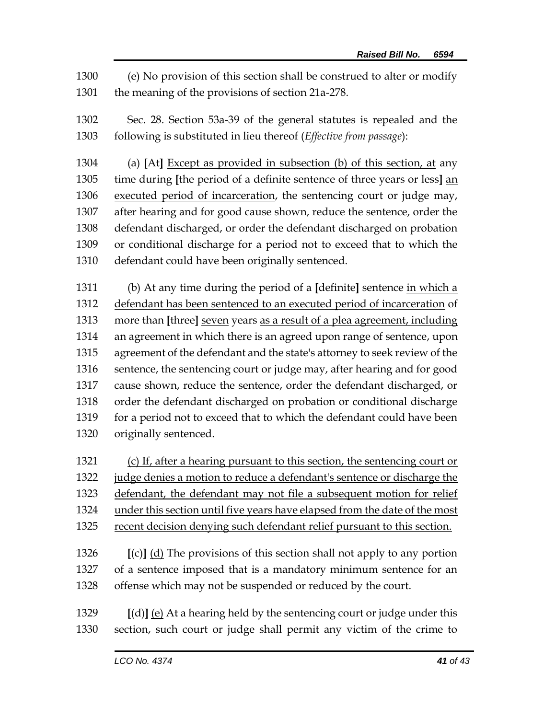(e) No provision of this section shall be construed to alter or modify the meaning of the provisions of section 21a-278.

 Sec. 28. Section 53a-39 of the general statutes is repealed and the following is substituted in lieu thereof (*Effective from passage*):

 (a) **[**At**]** Except as provided in subsection (b) of this section, at any time during **[**the period of a definite sentence of three years or less**]** an executed period of incarceration, the sentencing court or judge may, after hearing and for good cause shown, reduce the sentence, order the defendant discharged, or order the defendant discharged on probation or conditional discharge for a period not to exceed that to which the defendant could have been originally sentenced.

 (b) At any time during the period of a **[**definite**]** sentence in which a defendant has been sentenced to an executed period of incarceration of more than **[**three**]** seven years as a result of a plea agreement, including 1314 an agreement in which there is an agreed upon range of sentence, upon agreement of the defendant and the state's attorney to seek review of the sentence, the sentencing court or judge may, after hearing and for good cause shown, reduce the sentence, order the defendant discharged, or order the defendant discharged on probation or conditional discharge for a period not to exceed that to which the defendant could have been originally sentenced.

(c) If, after a hearing pursuant to this section, the sentencing court or

judge denies a motion to reduce a defendant's sentence or discharge the

defendant, the defendant may not file a subsequent motion for relief

under this section until five years have elapsed from the date of the most

 **[**(c)**]** (d) The provisions of this section shall not apply to any portion of a sentence imposed that is a mandatory minimum sentence for an offense which may not be suspended or reduced by the court.

 **[**(d)**]** (e) At a hearing held by the sentencing court or judge under this section, such court or judge shall permit any victim of the crime to

recent decision denying such defendant relief pursuant to this section.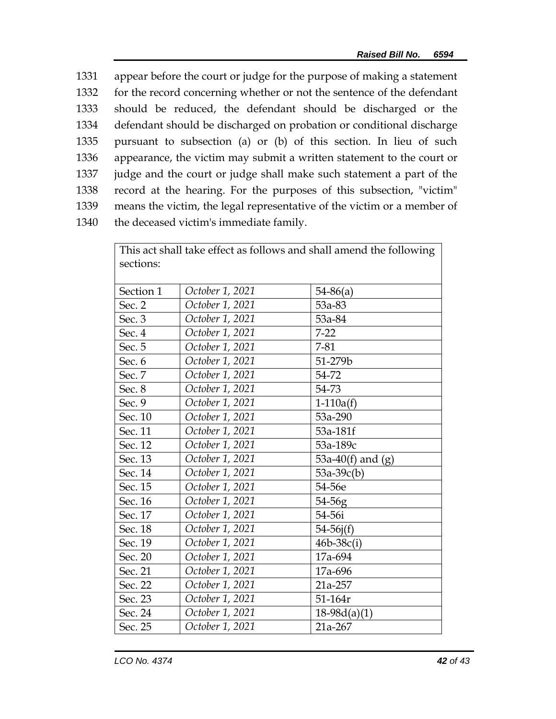appear before the court or judge for the purpose of making a statement for the record concerning whether or not the sentence of the defendant should be reduced, the defendant should be discharged or the defendant should be discharged on probation or conditional discharge pursuant to subsection (a) or (b) of this section. In lieu of such appearance, the victim may submit a written statement to the court or judge and the court or judge shall make such statement a part of the record at the hearing. For the purposes of this subsection, "victim" means the victim, the legal representative of the victim or a member of the deceased victim's immediate family.

|           | This act shall take effect as follows and shall amend the following |                     |  |  |  |  |
|-----------|---------------------------------------------------------------------|---------------------|--|--|--|--|
| sections: |                                                                     |                     |  |  |  |  |
|           |                                                                     |                     |  |  |  |  |
| Section 1 | October 1, 2021                                                     | $54 - 86(a)$        |  |  |  |  |
| Sec. 2    | October 1, 2021                                                     | 53a-83              |  |  |  |  |
| Sec. 3    | October 1, 2021                                                     | 53a-84              |  |  |  |  |
| Sec. 4    | October 1, 2021                                                     | $7 - 22$            |  |  |  |  |
| Sec. 5    | October 1, 2021                                                     | $7 - 81$            |  |  |  |  |
| Sec. 6    | October 1, 2021                                                     | 51-279b             |  |  |  |  |
| Sec. 7    | October 1, 2021                                                     | 54-72               |  |  |  |  |
| Sec. 8    | October 1, 2021                                                     | 54-73               |  |  |  |  |
| Sec. 9    | October 1, 2021                                                     | $1-110a(f)$         |  |  |  |  |
| Sec. 10   | October 1, 2021                                                     | 53a-290             |  |  |  |  |
| Sec. 11   | October 1, 2021                                                     | 53a-181f            |  |  |  |  |
| Sec. 12   | October 1, 2021                                                     | 53a-189c            |  |  |  |  |
| Sec. 13   | October 1, 2021                                                     | 53a-40(f) and $(g)$ |  |  |  |  |
| Sec. 14   | October 1, 2021                                                     | $53a-39c(b)$        |  |  |  |  |
| Sec. 15   | October 1, 2021                                                     | 54-56e              |  |  |  |  |
| Sec. 16   | October 1, 2021                                                     | 54-56g              |  |  |  |  |
| Sec. 17   | October 1, 2021                                                     | 54-56i              |  |  |  |  |
| Sec. 18   | October 1, 2021                                                     | $54 - 56j(f)$       |  |  |  |  |
| Sec. 19   | October 1, 2021                                                     | $46b - 38c(i)$      |  |  |  |  |
| Sec. 20   | October 1, 2021                                                     | 17a-694             |  |  |  |  |
| Sec. 21   | October 1, 2021                                                     | 17a-696             |  |  |  |  |
| Sec. 22   | October 1, 2021                                                     | 21a-257             |  |  |  |  |
| Sec. 23   | October 1, 2021                                                     | 51-164r             |  |  |  |  |
| Sec. 24   | October 1, 2021                                                     | $18-98d(a)(1)$      |  |  |  |  |
| Sec. 25   | October 1, 2021                                                     | 21a-267             |  |  |  |  |